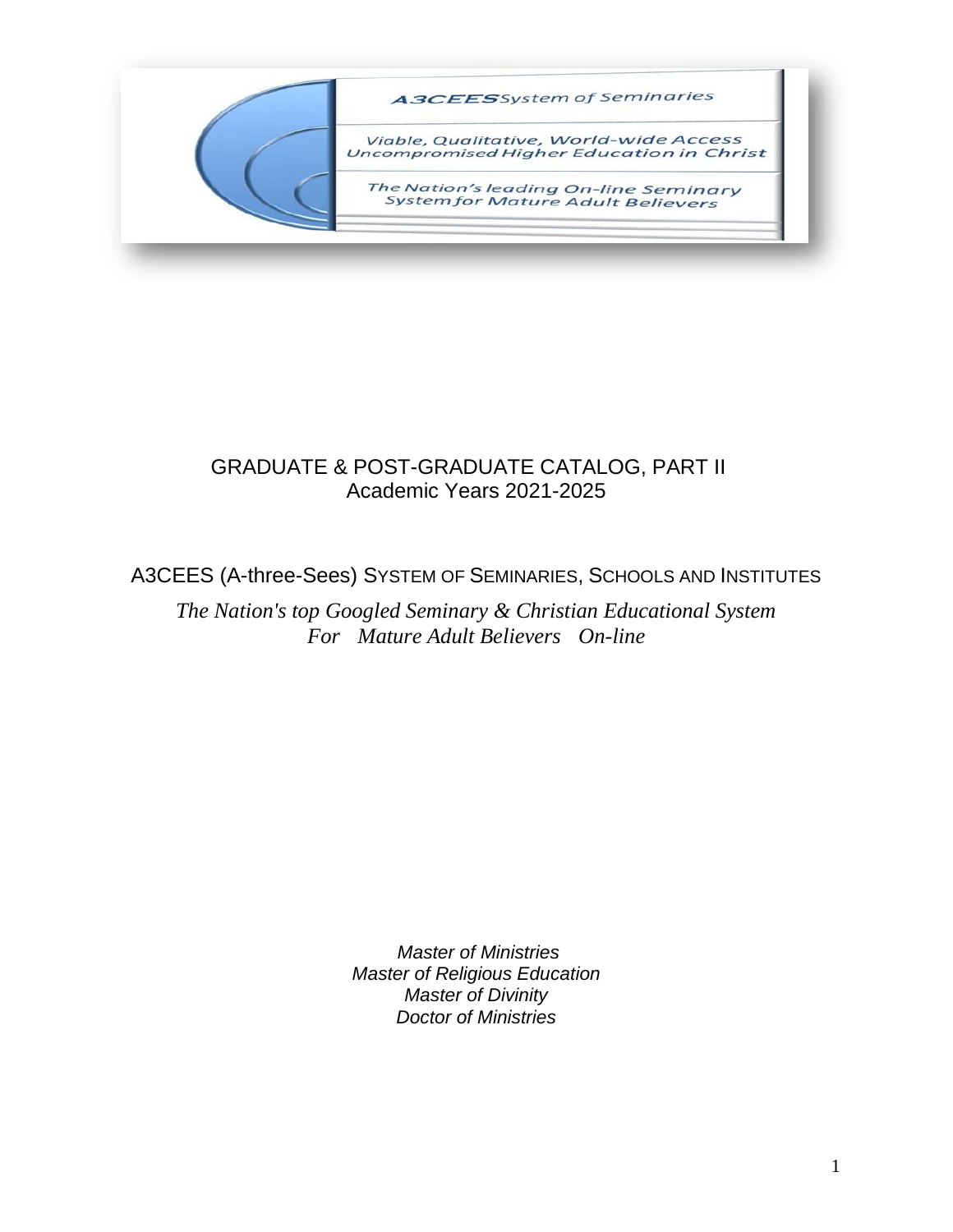

## GRADUATE & POST-GRADUATE CATALOG, PART II Academic Years 2021-2025

## A3CEES (A-three-Sees) SYSTEM OF SEMINARIES, SCHOOLS AND INSTITUTES

*The Nation's top Googled Seminary & Christian Educational System For Mature Adult Believers On-line*

> *Master of Ministries Master of Religious Education Master of Divinity Doctor of Ministries*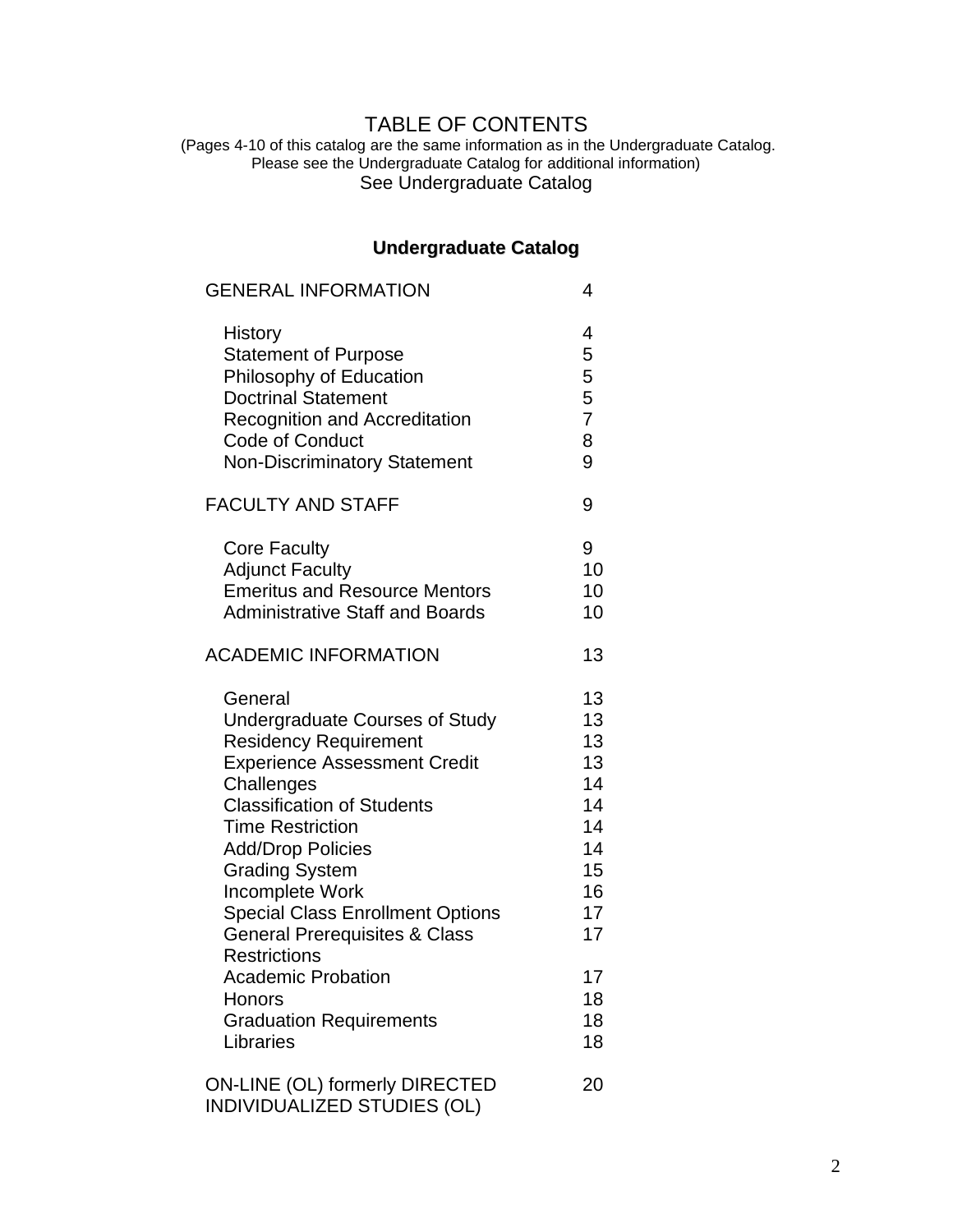## TABLE OF CONTENTS

(Pages 4-10 of this catalog are the same information as in the Undergraduate Catalog. Please see the Undergraduate Catalog for additional information) See Undergraduate Catalog

## **Undergraduate Catalog**

| <b>GENERAL INFORMATION</b>                                                                                                                                                                                                                                                                                                                                                                  | 4                                                                    |
|---------------------------------------------------------------------------------------------------------------------------------------------------------------------------------------------------------------------------------------------------------------------------------------------------------------------------------------------------------------------------------------------|----------------------------------------------------------------------|
| <b>History</b><br><b>Statement of Purpose</b><br>Philosophy of Education<br><b>Doctrinal Statement</b><br><b>Recognition and Accreditation</b><br><b>Code of Conduct</b><br><b>Non-Discriminatory Statement</b>                                                                                                                                                                             | 4<br>5<br>5<br>5<br>$\overline{7}$<br>8<br>9                         |
| <b>FACULTY AND STAFF</b>                                                                                                                                                                                                                                                                                                                                                                    | 9                                                                    |
| <b>Core Faculty</b><br><b>Adjunct Faculty</b><br><b>Emeritus and Resource Mentors</b><br><b>Administrative Staff and Boards</b><br><b>ACADEMIC INFORMATION</b>                                                                                                                                                                                                                              | 9<br>10<br>10<br>10<br>13                                            |
|                                                                                                                                                                                                                                                                                                                                                                                             |                                                                      |
| General<br><b>Undergraduate Courses of Study</b><br><b>Residency Requirement</b><br><b>Experience Assessment Credit</b><br>Challenges<br><b>Classification of Students</b><br><b>Time Restriction</b><br><b>Add/Drop Policies</b><br><b>Grading System</b><br>Incomplete Work<br><b>Special Class Enrollment Options</b><br><b>General Prerequisites &amp; Class</b><br><b>Restrictions</b> | 13<br>13<br>13<br>13<br>14<br>14<br>14<br>14<br>15<br>16<br>17<br>17 |
| Academic Probation<br>Honors<br><b>Graduation Requirements</b><br>Libraries                                                                                                                                                                                                                                                                                                                 | 17<br>18<br>18<br>18                                                 |
| <b>ON-LINE (OL) formerly DIRECTED</b><br><b>INDIVIDUALIZED STUDIES (OL)</b>                                                                                                                                                                                                                                                                                                                 | 20                                                                   |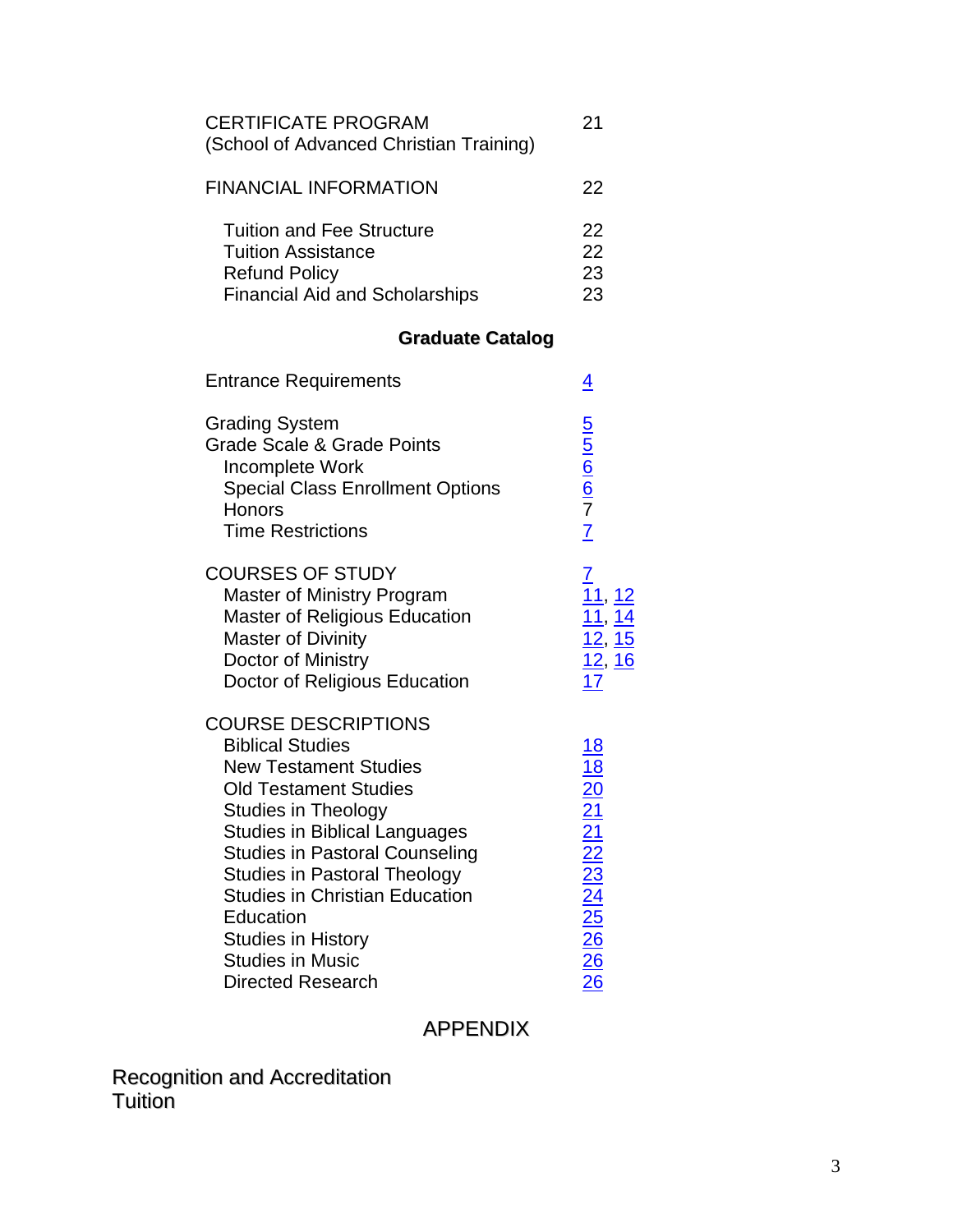| <b>CERTIFICATE PROGRAM</b><br>(School of Advanced Christian Training)                                                          | 21                   |
|--------------------------------------------------------------------------------------------------------------------------------|----------------------|
| <b>FINANCIAL INFORMATION</b>                                                                                                   | 22                   |
| <b>Tuition and Fee Structure</b><br><b>Tuition Assistance</b><br><b>Refund Policy</b><br><b>Financial Aid and Scholarships</b> | 22<br>22<br>23<br>23 |

# **Graduate Catalog**

| <b>Entrance Requirements</b>                                                                                                                                                                                                                                                                                                                                                                                          | <u>4</u>                                                                             |
|-----------------------------------------------------------------------------------------------------------------------------------------------------------------------------------------------------------------------------------------------------------------------------------------------------------------------------------------------------------------------------------------------------------------------|--------------------------------------------------------------------------------------|
| <b>Grading System</b><br><b>Grade Scale &amp; Grade Points</b><br>Incomplete Work<br><b>Special Class Enrollment Options</b><br>Honors<br><b>Time Restrictions</b>                                                                                                                                                                                                                                                    | $rac{5}{6}$ $rac{6}{6}$ $rac{7}{7}$ $rac{7}{1}$                                      |
| <b>COURSES OF STUDY</b><br><b>Master of Ministry Program</b><br><b>Master of Religious Education</b><br><b>Master of Divinity</b><br>Doctor of Ministry<br>Doctor of Religious Education                                                                                                                                                                                                                              | <u> 12</u><br>$\frac{11}{12}$ , $\frac{14}{15}$<br>$\frac{12}{12}$ , $\frac{16}{17}$ |
| <b>COURSE DESCRIPTIONS</b><br><b>Biblical Studies</b><br><b>New Testament Studies</b><br><b>Old Testament Studies</b><br><b>Studies in Theology</b><br><b>Studies in Biblical Languages</b><br><b>Studies in Pastoral Counseling</b><br><b>Studies in Pastoral Theology</b><br><b>Studies in Christian Education</b><br>Education<br><b>Studies in History</b><br><b>Studies in Music</b><br><b>Directed Research</b> | 18 18 20 21 21 22 23 24 25 26 26 26                                                  |

## APPENDIX

Recognition and Accreditation Tuition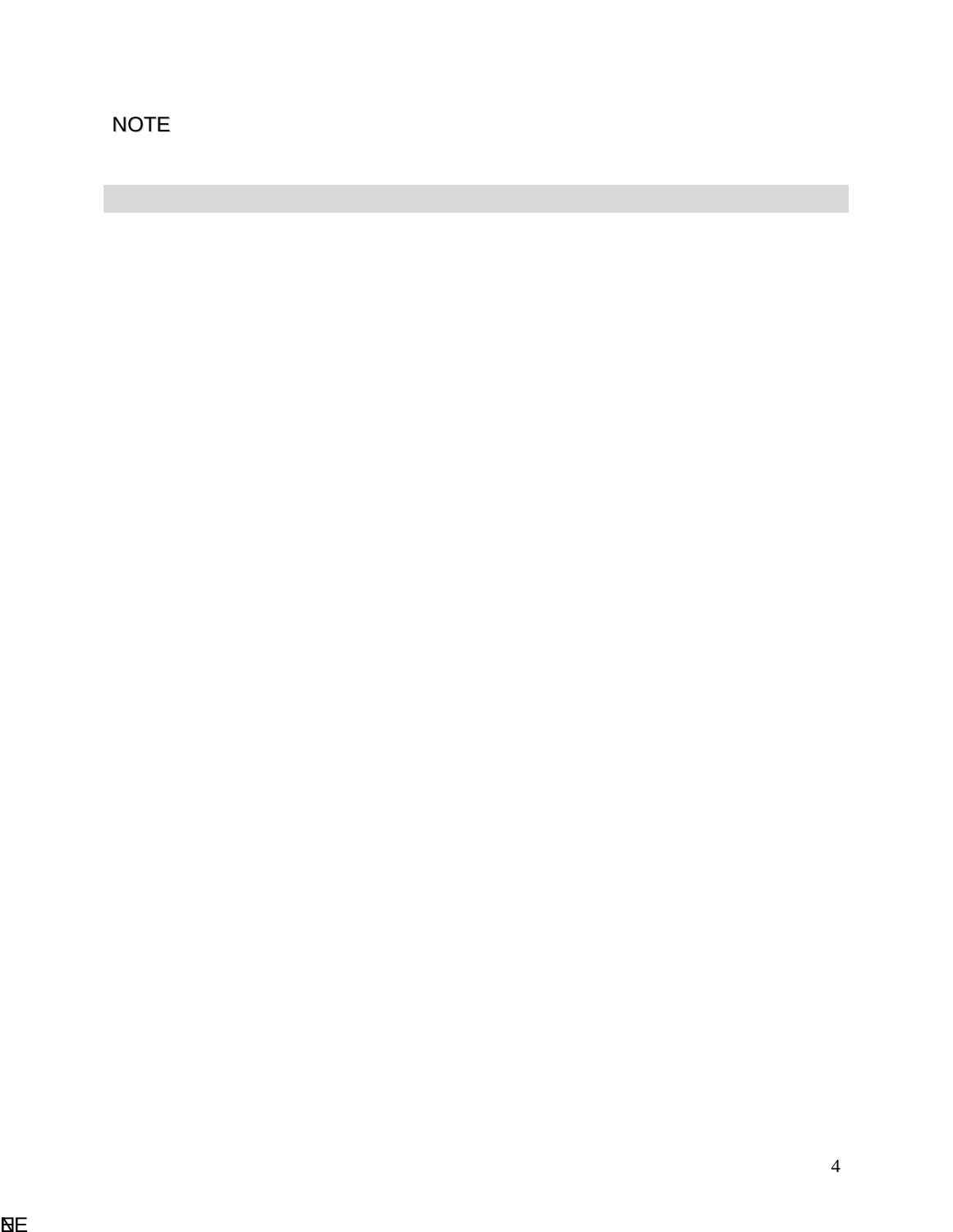<span id="page-3-0"></span>NOTE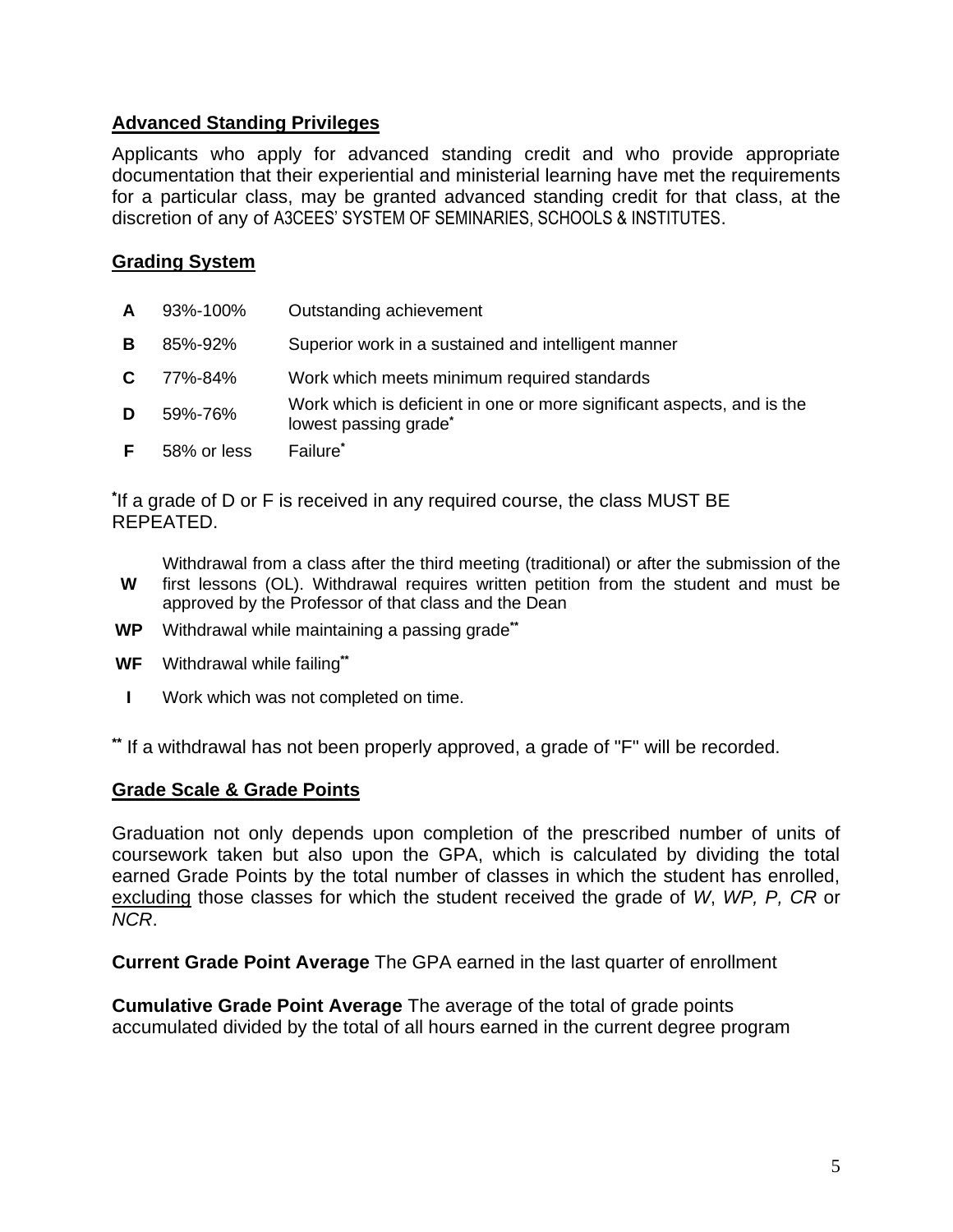#### **Advanced Standing Privileges**

Applicants who apply for advanced standing credit and who provide appropriate documentation that their experiential and ministerial learning have met the requirements for a particular class, may be granted advanced standing credit for that class, at the discretion of any of A3CEES' SYSTEM OF SEMINARIES, SCHOOLS & INSTITUTES.

#### <span id="page-4-0"></span>**Grading System**

| $\mathsf{A}$ | 93%-100%    | Outstanding achievement                                                                                     |
|--------------|-------------|-------------------------------------------------------------------------------------------------------------|
| в            | 85%-92%     | Superior work in a sustained and intelligent manner                                                         |
| C.           | 77%-84%     | Work which meets minimum required standards                                                                 |
| D            | 59%-76%     | Work which is deficient in one or more significant aspects, and is the<br>lowest passing grade <sup>*</sup> |
| F.           | 58% or less | Failure*                                                                                                    |

**\*** If a grade of D or F is received in any required course, the class MUST BE REPEATED.

**W** Withdrawal from a class after the third meeting (traditional) or after the submission of the first lessons (OL). Withdrawal requires written petition from the student and must be approved by the Professor of that class and the Dean

- **WP** Withdrawal while maintaining a passing grade**\*\***
- **WF** Withdrawal while failing**\*\***
- **I** Work which was not completed on time.

**\*\*** If a withdrawal has not been properly approved, a grade of "F" will be recorded.

#### <span id="page-4-1"></span>**Grade Scale & Grade Points**

Graduation not only depends upon completion of the prescribed number of units of coursework taken but also upon the GPA, which is calculated by dividing the total earned Grade Points by the total number of classes in which the student has enrolled, excluding those classes for which the student received the grade of *W*, *WP, P, CR* or *NCR*.

**Current Grade Point Average** The GPA earned in the last quarter of enrollment

**Cumulative Grade Point Average** The average of the total of grade points accumulated divided by the total of all hours earned in the current degree program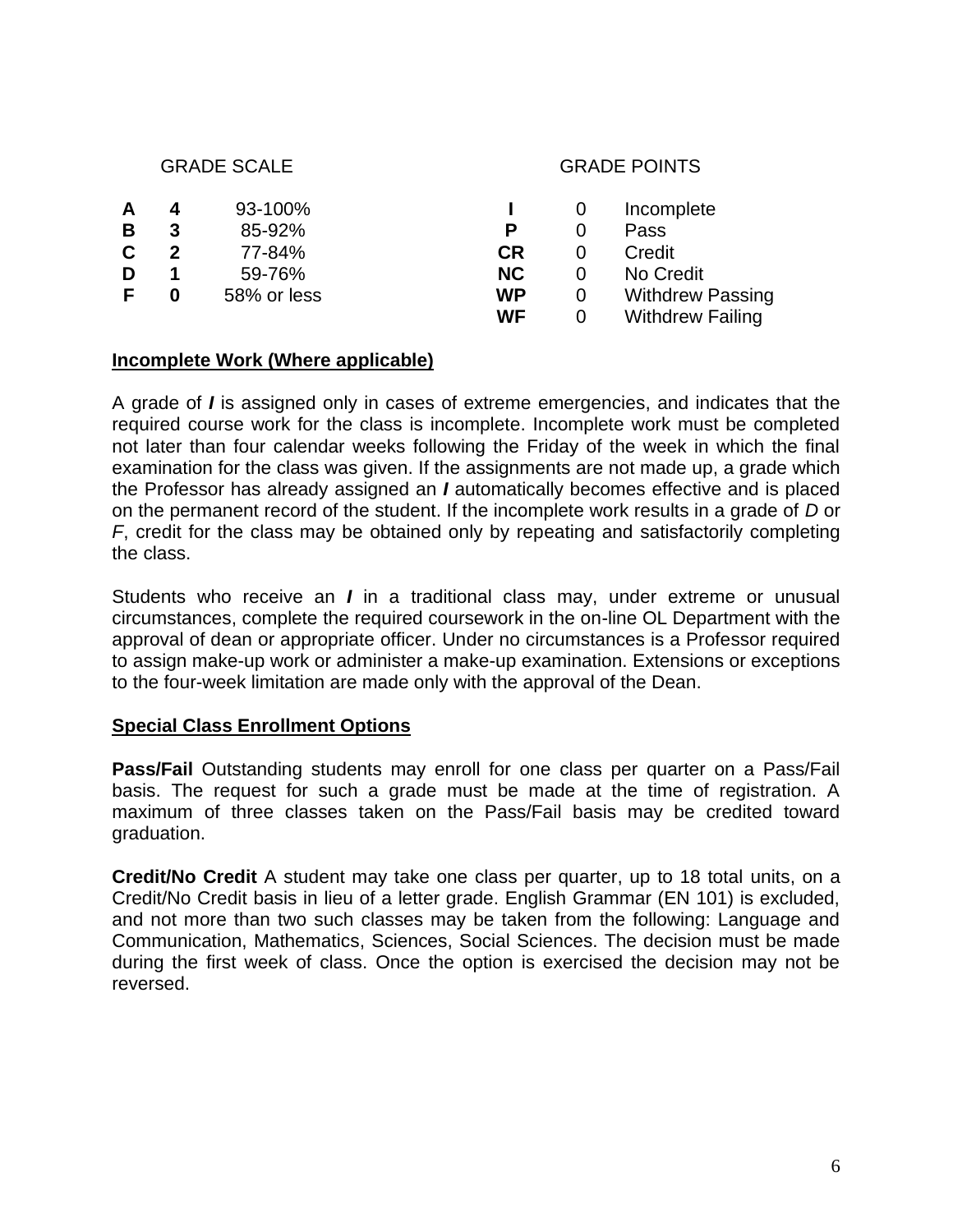#### GRADE SCALE GRADE POINTS

|   | 4 | 93-100%     |           | Incomplete              |
|---|---|-------------|-----------|-------------------------|
| В | 3 | 85-92%      |           | Pass                    |
|   | 2 | 77-84%      | CR        | Credit                  |
|   |   | 59-76%      | NC.       | No Credit               |
|   |   | 58% or less | <b>WP</b> | <b>Withdrew Passing</b> |
|   |   |             | WF        | <b>Withdrew Failing</b> |

#### <span id="page-5-0"></span>**Incomplete Work (Where applicable)**

A grade of *I* is assigned only in cases of extreme emergencies, and indicates that the required course work for the class is incomplete. Incomplete work must be completed not later than four calendar weeks following the Friday of the week in which the final examination for the class was given. If the assignments are not made up, a grade which the Professor has already assigned an *I* automatically becomes effective and is placed on the permanent record of the student. If the incomplete work results in a grade of *D* or *F*, credit for the class may be obtained only by repeating and satisfactorily completing the class.

Students who receive an *I* in a traditional class may, under extreme or unusual circumstances, complete the required coursework in the on-line OL Department with the approval of dean or appropriate officer. Under no circumstances is a Professor required to assign make-up work or administer a make-up examination. Extensions or exceptions to the four-week limitation are made only with the approval of the Dean.

#### **Special Class Enrollment Options**

**Pass/Fail** Outstanding students may enroll for one class per quarter on a Pass/Fail basis. The request for such a grade must be made at the time of registration. A maximum of three classes taken on the Pass/Fail basis may be credited toward graduation.

**Credit/No Credit** A student may take one class per quarter, up to 18 total units, on a Credit/No Credit basis in lieu of a letter grade. English Grammar (EN 101) is excluded, and not more than two such classes may be taken from the following: Language and Communication, Mathematics, Sciences, Social Sciences. The decision must be made during the first week of class. Once the option is exercised the decision may not be reversed.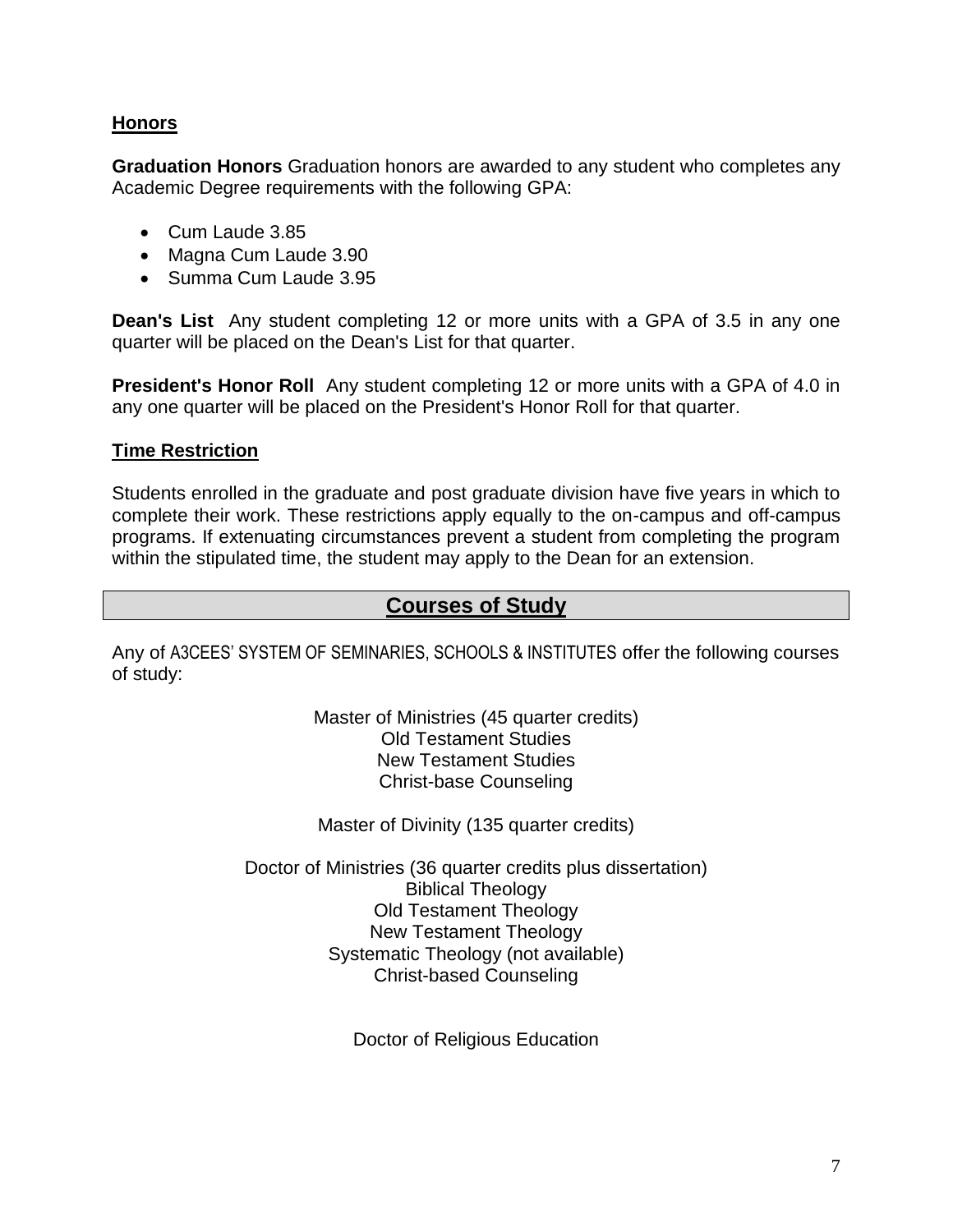#### **Honors**

**Graduation Honors** Graduation honors are awarded to any student who completes any Academic Degree requirements with the following GPA:

- Cum Laude 3.85
- Magna Cum Laude 3.90
- Summa Cum Laude 3.95

**Dean's List** Any student completing 12 or more units with a GPA of 3.5 in any one quarter will be placed on the Dean's List for that quarter.

**President's Honor Roll** Any student completing 12 or more units with a GPA of 4.0 in any one quarter will be placed on the President's Honor Roll for that quarter.

#### **Time Restriction**

Students enrolled in the graduate and post graduate division have five years in which to complete their work. These restrictions apply equally to the on-campus and off-campus programs. If extenuating circumstances prevent a student from completing the program within the stipulated time, the student may apply to the Dean for an extension.

### <span id="page-6-0"></span>**Courses of Study**

<span id="page-6-1"></span>Any of A3CEES' SYSTEM OF SEMINARIES, SCHOOLS & INSTITUTES offer the following courses of study:

> Master of Ministries (45 quarter credits) Old Testament Studies New Testament Studies Christ-base Counseling

Master of Divinity (135 quarter credits)

Doctor of Ministries (36 quarter credits plus dissertation) Biblical Theology Old Testament Theology New Testament Theology Systematic Theology (not available) Christ-based Counseling

Doctor of Religious Education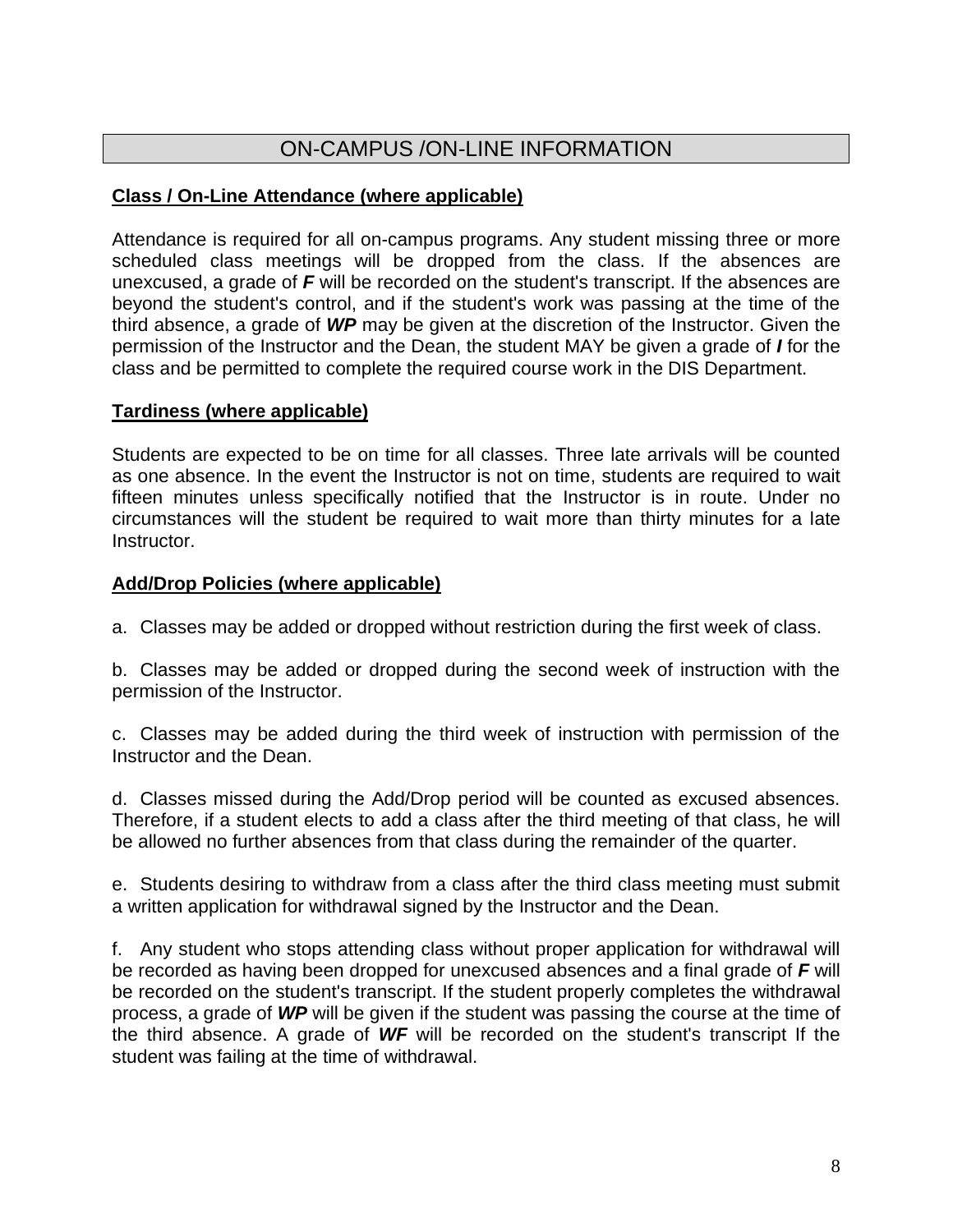## ON-CAMPUS /ON-LINE INFORMATION

#### **Class / On-Line Attendance (where applicable)**

Attendance is required for all on-campus programs. Any student missing three or more scheduled class meetings will be dropped from the class. If the absences are unexcused, a grade of *F* will be recorded on the student's transcript. If the absences are beyond the student's control, and if the student's work was passing at the time of the third absence, a grade of *WP* may be given at the discretion of the Instructor. Given the permission of the Instructor and the Dean, the student MAY be given a grade of *I* for the class and be permitted to complete the required course work in the DIS Department.

#### **Tardiness (where applicable)**

Students are expected to be on time for all classes. Three late arrivals will be counted as one absence. In the event the Instructor is not on time, students are required to wait fifteen minutes unless specifically notified that the Instructor is in route. Under no circumstances will the student be required to wait more than thirty minutes for a late Instructor.

#### **Add/Drop Policies (where applicable)**

a. Classes may be added or dropped without restriction during the first week of class.

b. Classes may be added or dropped during the second week of instruction with the permission of the Instructor.

c. Classes may be added during the third week of instruction with permission of the Instructor and the Dean.

d. Classes missed during the Add/Drop period will be counted as excused absences. Therefore, if a student elects to add a class after the third meeting of that class, he will be allowed no further absences from that class during the remainder of the quarter.

e. Students desiring to withdraw from a class after the third class meeting must submit a written application for withdrawal signed by the Instructor and the Dean.

f. Any student who stops attending class without proper application for withdrawal will be recorded as having been dropped for unexcused absences and a final grade of *F* will be recorded on the student's transcript. If the student properly completes the withdrawal process, a grade of *WP* will be given if the student was passing the course at the time of the third absence. A grade of *WF* will be recorded on the student's transcript If the student was failing at the time of withdrawal.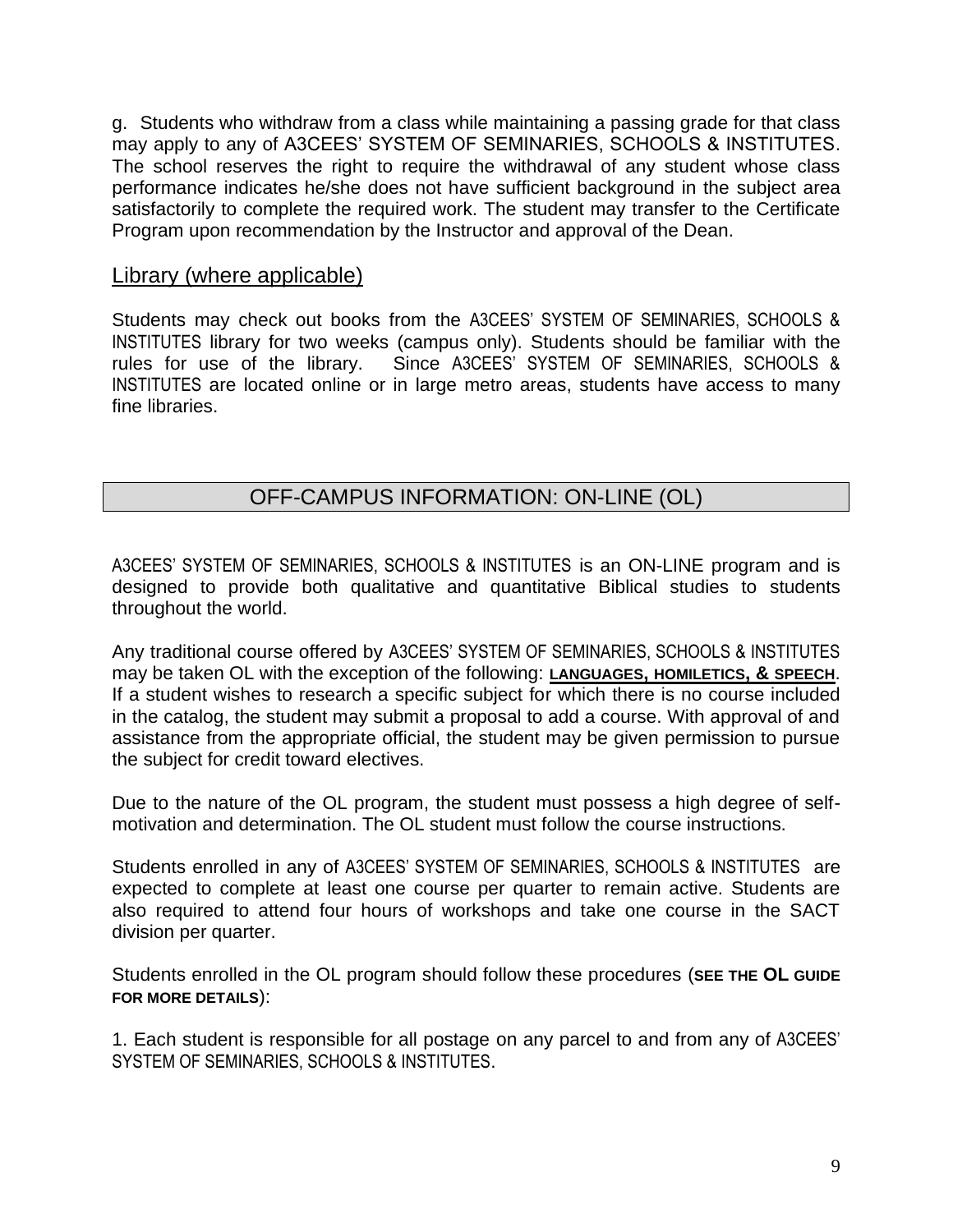g. Students who withdraw from a class while maintaining a passing grade for that class may apply to any of A3CEES' SYSTEM OF SEMINARIES, SCHOOLS & INSTITUTES. The school reserves the right to require the withdrawal of any student whose class performance indicates he/she does not have sufficient background in the subject area satisfactorily to complete the required work. The student may transfer to the Certificate Program upon recommendation by the Instructor and approval of the Dean.

#### Library (where applicable)

Students may check out books from the A3CEES' SYSTEM OF SEMINARIES, SCHOOLS & INSTITUTES library for two weeks (campus only). Students should be familiar with the rules for use of the library. Since A3CEES' SYSTEM OF SEMINARIES, SCHOOLS & INSTITUTES are located online or in large metro areas, students have access to many fine libraries.

## OFF-CAMPUS INFORMATION: ON-LINE (OL)

A3CEES' SYSTEM OF SEMINARIES, SCHOOLS & INSTITUTES is an ON-LINE program and is designed to provide both qualitative and quantitative Biblical studies to students throughout the world.

Any traditional course offered by A3CEES' SYSTEM OF SEMINARIES, SCHOOLS & INSTITUTES may be taken OL with the exception of the following: **LANGUAGES, HOMILETICS, & SPEECH**. If a student wishes to research a specific subject for which there is no course included in the catalog, the student may submit a proposal to add a course. With approval of and assistance from the appropriate official, the student may be given permission to pursue the subject for credit toward electives.

Due to the nature of the OL program, the student must possess a high degree of selfmotivation and determination. The OL student must follow the course instructions.

Students enrolled in any of A3CEES' SYSTEM OF SEMINARIES, SCHOOLS & INSTITUTES are expected to complete at least one course per quarter to remain active. Students are also required to attend four hours of workshops and take one course in the SACT division per quarter.

Students enrolled in the OL program should follow these procedures (**SEE THE OL GUIDE FOR MORE DETAILS**):

1. Each student is responsible for all postage on any parcel to and from any of A3CEES' SYSTEM OF SEMINARIES, SCHOOLS & INSTITUTES.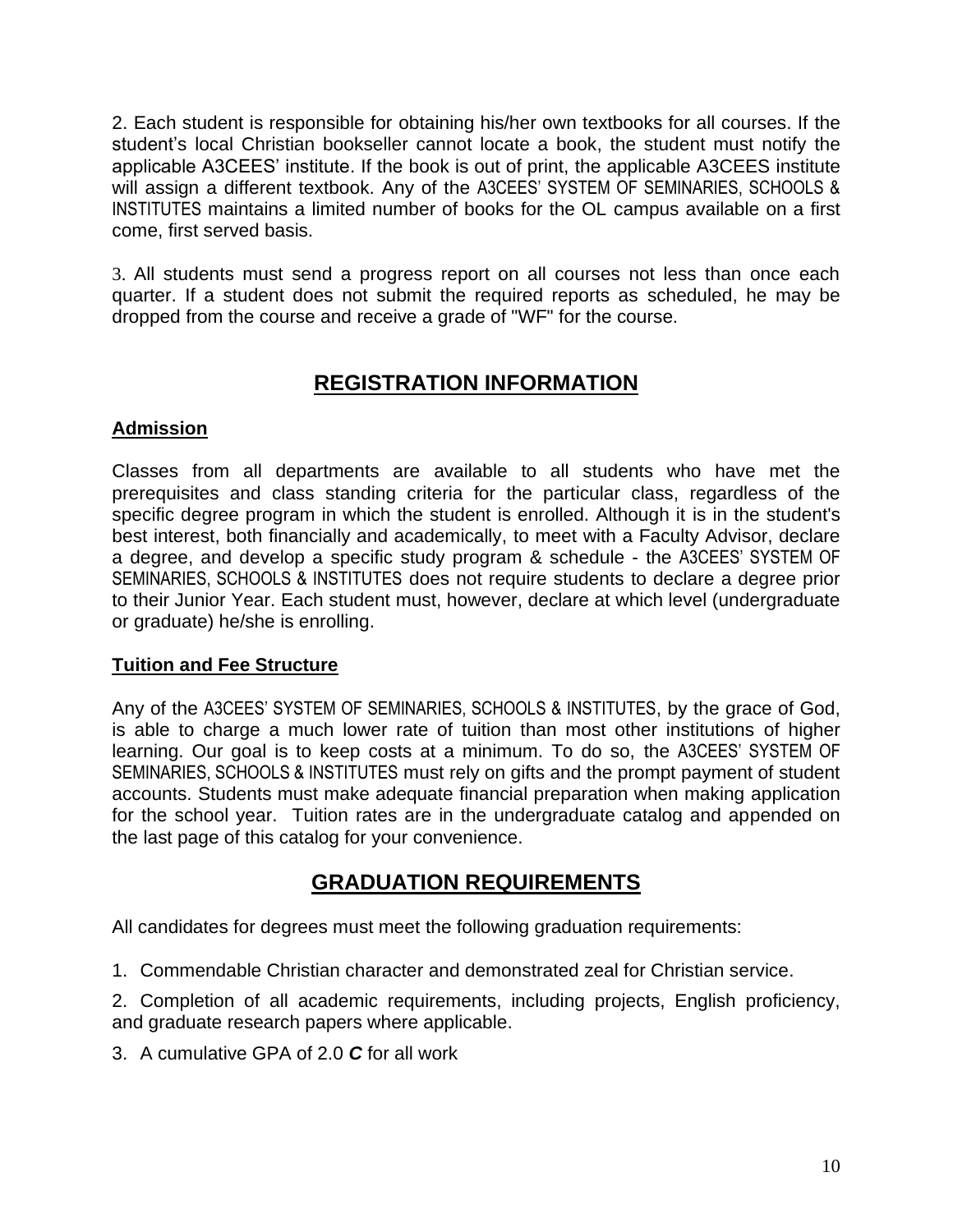2. Each student is responsible for obtaining his/her own textbooks for all courses. If the student's local Christian bookseller cannot locate a book, the student must notify the applicable A3CEES' institute. If the book is out of print, the applicable A3CEES institute will assign a different textbook. Any of the A3CEES' SYSTEM OF SEMINARIES, SCHOOLS & INSTITUTES maintains a limited number of books for the OL campus available on a first come, first served basis.

3. All students must send a progress report on all courses not less than once each quarter. If a student does not submit the required reports as scheduled, he may be dropped from the course and receive a grade of "WF" for the course.

## **REGISTRATION INFORMATION**

#### **Admission**

Classes from all departments are available to all students who have met the prerequisites and class standing criteria for the particular class, regardless of the specific degree program in which the student is enrolled. Although it is in the student's best interest, both financially and academically, to meet with a Faculty Advisor, declare a degree, and develop a specific study program & schedule - the A3CEES' SYSTEM OF SEMINARIES, SCHOOLS & INSTITUTES does not require students to declare a degree prior to their Junior Year. Each student must, however, declare at which level (undergraduate or graduate) he/she is enrolling.

#### **Tuition and Fee Structure**

Any of the A3CEES' SYSTEM OF SEMINARIES, SCHOOLS & INSTITUTES, by the grace of God, is able to charge a much lower rate of tuition than most other institutions of higher learning. Our goal is to keep costs at a minimum. To do so, the A3CEES' SYSTEM OF SEMINARIES, SCHOOLS & INSTITUTES must rely on gifts and the prompt payment of student accounts. Students must make adequate financial preparation when making application for the school year. Tuition rates are in the undergraduate catalog and appended on the last page of this catalog for your convenience.

## **GRADUATION REQUIREMENTS**

All candidates for degrees must meet the following graduation requirements:

1. Commendable Christian character and demonstrated zeal for Christian service.

2. Completion of all academic requirements, including projects, English proficiency, and graduate research papers where applicable.

3. A cumulative GPA of 2.0 *C* for all work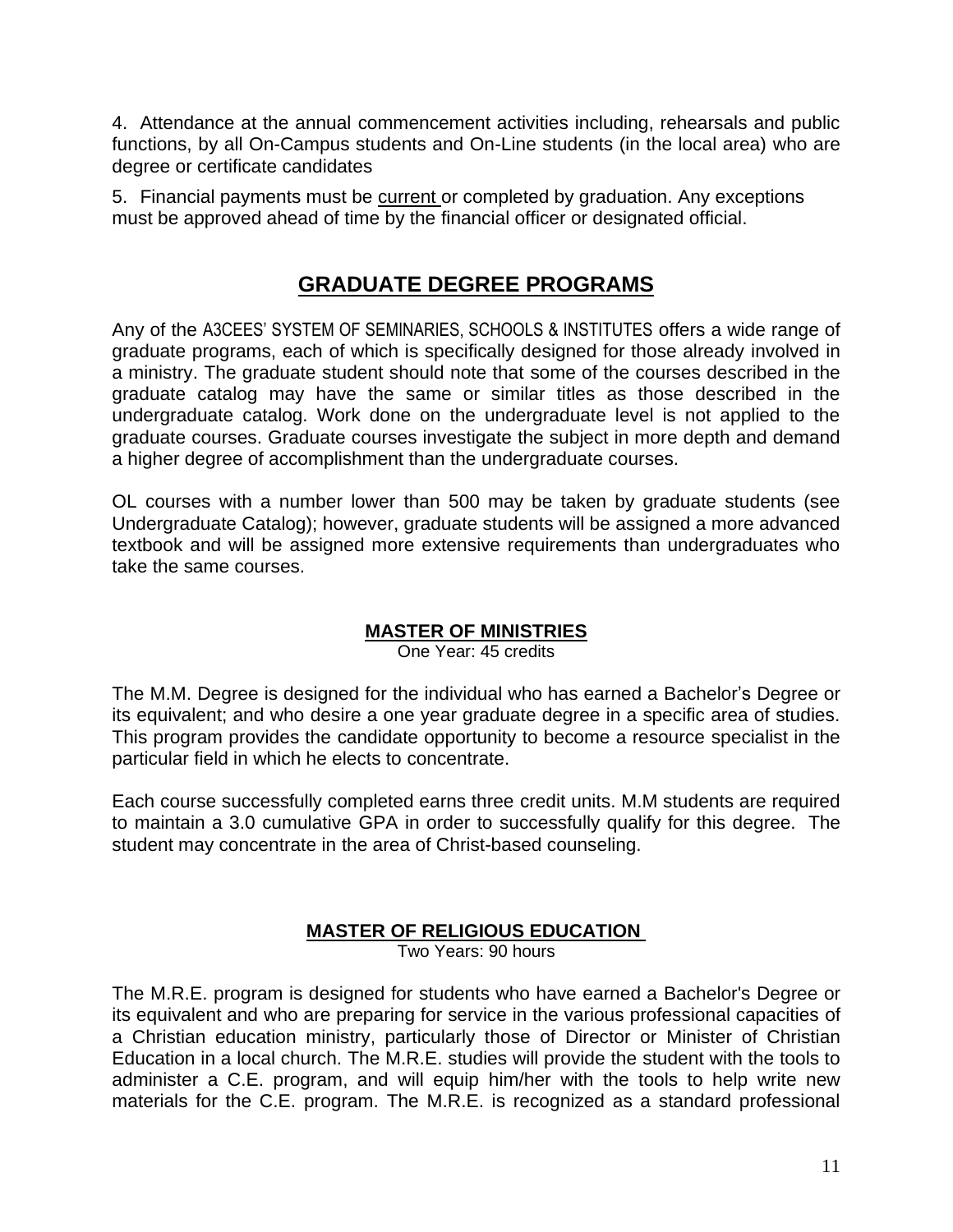4. Attendance at the annual commencement activities including, rehearsals and public functions, by all On-Campus students and On-Line students (in the local area) who are degree or certificate candidates

5. Financial payments must be current or completed by graduation. Any exceptions must be approved ahead of time by the financial officer or designated official.

## **GRADUATE DEGREE PROGRAMS**

Any of the A3CEES' SYSTEM OF SEMINARIES, SCHOOLS & INSTITUTES offers a wide range of graduate programs, each of which is specifically designed for those already involved in a ministry. The graduate student should note that some of the courses described in the graduate catalog may have the same or similar titles as those described in the undergraduate catalog. Work done on the undergraduate level is not applied to the graduate courses. Graduate courses investigate the subject in more depth and demand a higher degree of accomplishment than the undergraduate courses.

OL courses with a number lower than 500 may be taken by graduate students (see Undergraduate Catalog); however, graduate students will be assigned a more advanced textbook and will be assigned more extensive requirements than undergraduates who take the same courses.

## **MASTER OF MINISTRIES**

One Year: 45 credits

<span id="page-10-0"></span>The M.M. Degree is designed for the individual who has earned a Bachelor's Degree or its equivalent; and who desire a one year graduate degree in a specific area of studies. This program provides the candidate opportunity to become a resource specialist in the particular field in which he elects to concentrate.

Each course successfully completed earns three credit units. M.M students are required to maintain a 3.0 cumulative GPA in order to successfully qualify for this degree. The student may concentrate in the area of Christ-based counseling.

## **MASTER OF RELIGIOUS EDUCATION**

<span id="page-10-1"></span>Two Years: 90 hours

The M.R.E. program is designed for students who have earned a Bachelor's Degree or its equivalent and who are preparing for service in the various professional capacities of a Christian education ministry, particularly those of Director or Minister of Christian Education in a local church. The M.R.E. studies will provide the student with the tools to administer a C.E. program, and will equip him/her with the tools to help write new materials for the C.E. program. The M.R.E. is recognized as a standard professional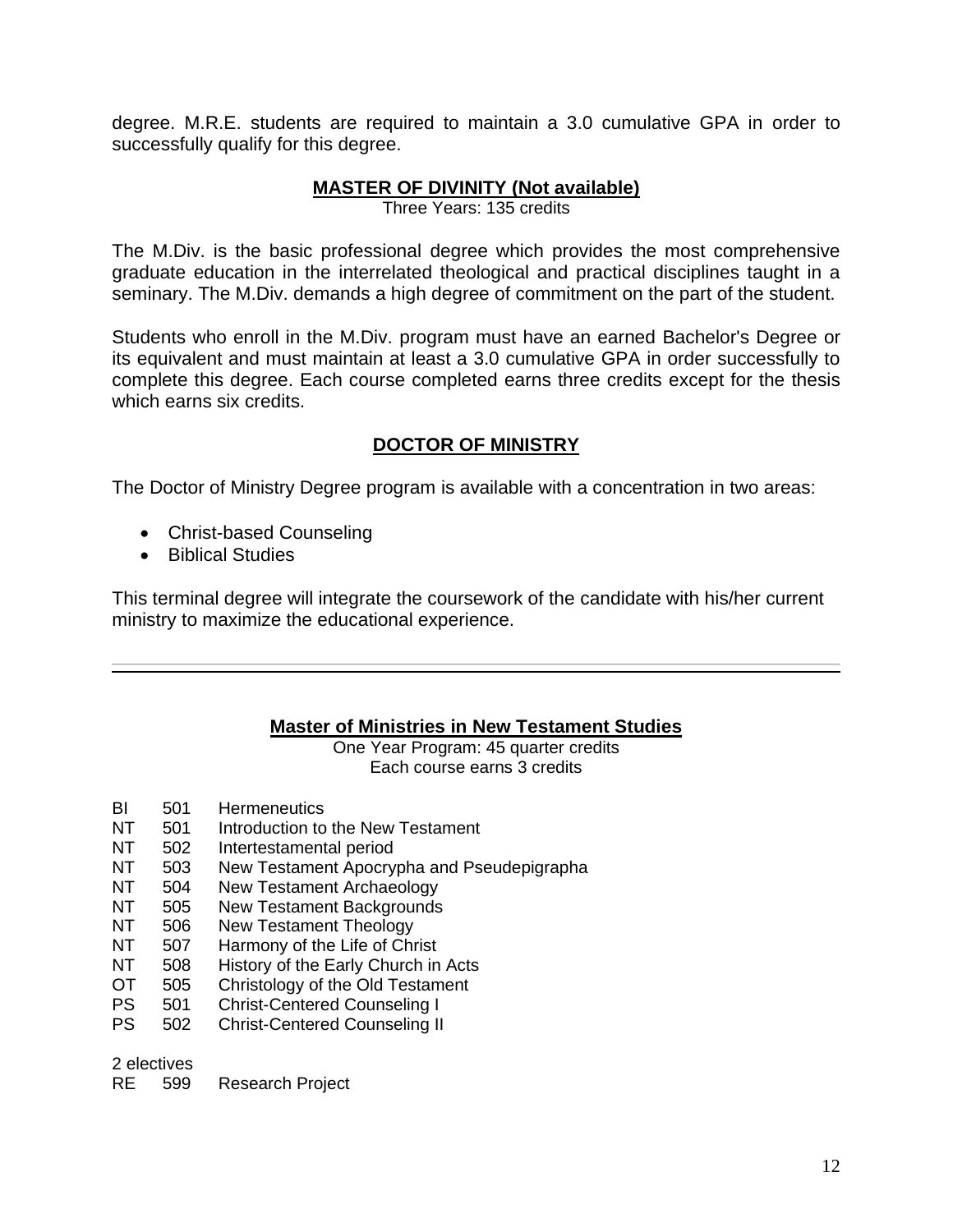<span id="page-11-1"></span>degree. M.R.E. students are required to maintain a 3.0 cumulative GPA in order to successfully qualify for this degree.

#### **MASTER OF DIVINITY (Not available)**

Three Years: 135 credits

The M.Div. is the basic professional degree which provides the most comprehensive graduate education in the interrelated theological and practical disciplines taught in a seminary. The M.Div. demands a high degree of commitment on the part of the student.

Students who enroll in the M.Div. program must have an earned Bachelor's Degree or its equivalent and must maintain at least a 3.0 cumulative GPA in order successfully to complete this degree. Each course completed earns three credits except for the thesis which earns six credits.

#### **DOCTOR OF MINISTRY**

<span id="page-11-2"></span>The Doctor of Ministry Degree program is available with a concentration in two areas:

- Christ-based Counseling
- Biblical Studies

<span id="page-11-0"></span>This terminal degree will integrate the coursework of the candidate with his/her current ministry to maximize the educational experience.

#### **Master of Ministries in New Testament Studies**

One Year Program: 45 quarter credits Each course earns 3 credits

- BI 501 Hermeneutics
- NT 501 Introduction to the New Testament
- NT 502 Intertestamental period
- NT 503 New Testament Apocrypha and Pseudepigrapha
- NT 504 New Testament Archaeology
- NT 505 New Testament Backgrounds
- NT 506 New Testament Theology
- NT 507 Harmony of the Life of Christ
- NT 508 History of the Early Church in Acts
- OT 505 Christology of the Old Testament
- PS 501 Christ-Centered Counseling I
- PS 502 Christ-Centered Counseling II

2 electives

RE 599 Research Project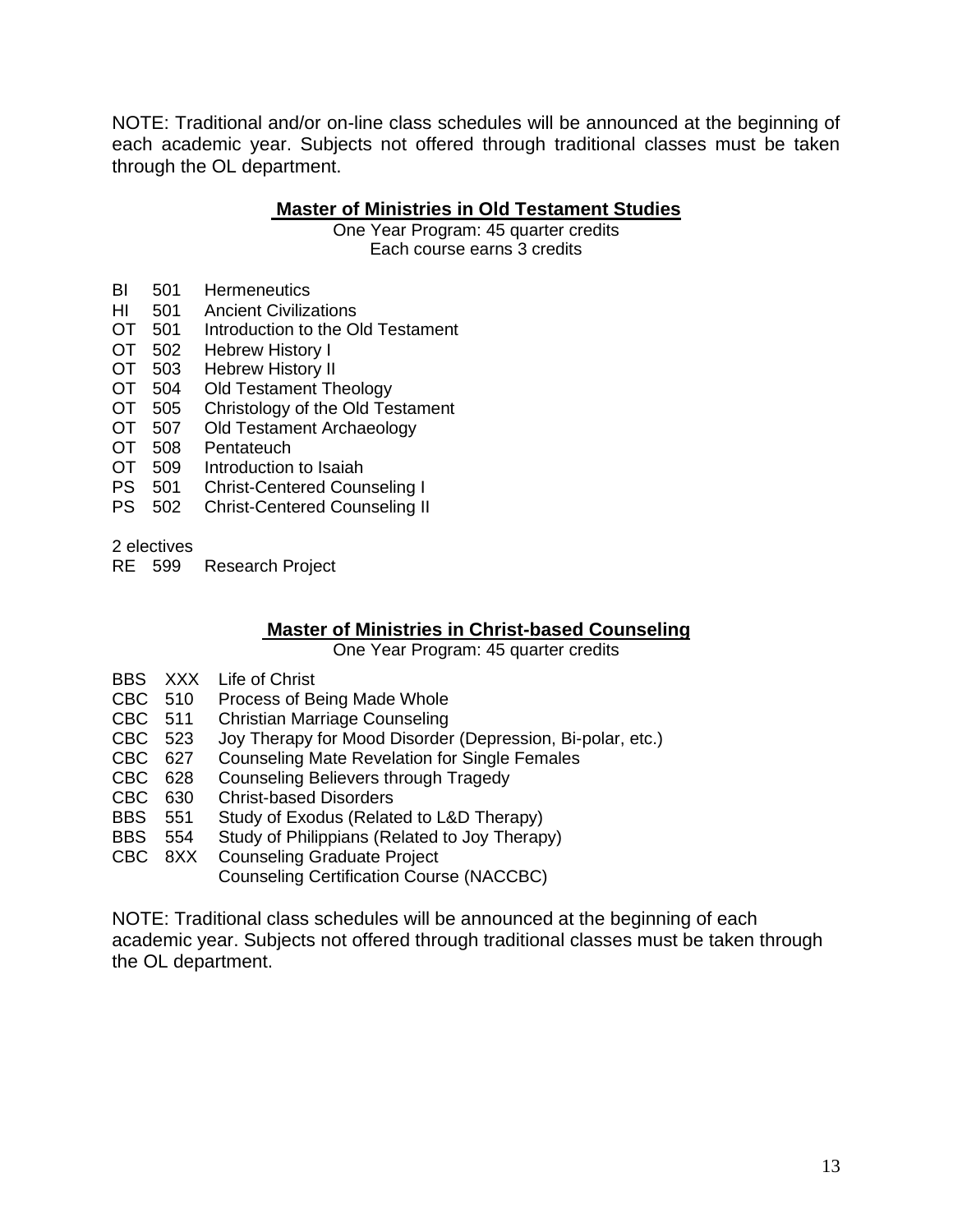NOTE: Traditional and/or on-line class schedules will be announced at the beginning of each academic year. Subjects not offered through traditional classes must be taken through the OL department.

#### **Master of Ministries in Old Testament Studies**

One Year Program: 45 quarter credits Each course earns 3 credits

- BI 501 Hermeneutics
- HI 501 Ancient Civilizations<br>OT 501 Introduction to the O
- Introduction to the Old Testament
- 
- OT 502 Hebrew History I<br>OT 503 Hebrew History II<br>OT 504 Old Testament Th **Hebrew History II**
- Old Testament Theology
- OT 505 Christology of the Old Testament<br>OT 507 Old Testament Archaeology
- Old Testament Archaeology
- OT 508 Pentateuch<br>OT 509 Introduction
- Introduction to Isaiah
- PS 501 Christ-Centered Counseling I
- PS 502 Christ-Centered Counseling II

2 electives

RE 599 Research Project

#### **Master of Ministries in Christ-based Counseling**

One Year Program: 45 quarter credits

- BBS XXX Life of Christ
- CBC 510 Process of Being Made Whole<br>CBC 511 Christian Marriage Counseling
- CBC 511 Christian Marriage Counseling<br>CBC 523 Jov Therapy for Mood Disorder
- Joy Therapy for Mood Disorder (Depression, Bi-polar, etc.)
- CBC 627 Counseling Mate Revelation for Single Females
- CBC 628 Counseling Believers through Tragedy
- CBC 630 Christ-based Disorders
- BBS 551 Study of Exodus (Related to L&D Therapy)
- BBS 554 Study of Philippians (Related to Joy Therapy)
- CBC 8XX Counseling Graduate Project
	- Counseling Certification Course (NACCBC)

NOTE: Traditional class schedules will be announced at the beginning of each academic year. Subjects not offered through traditional classes must be taken through the OL department.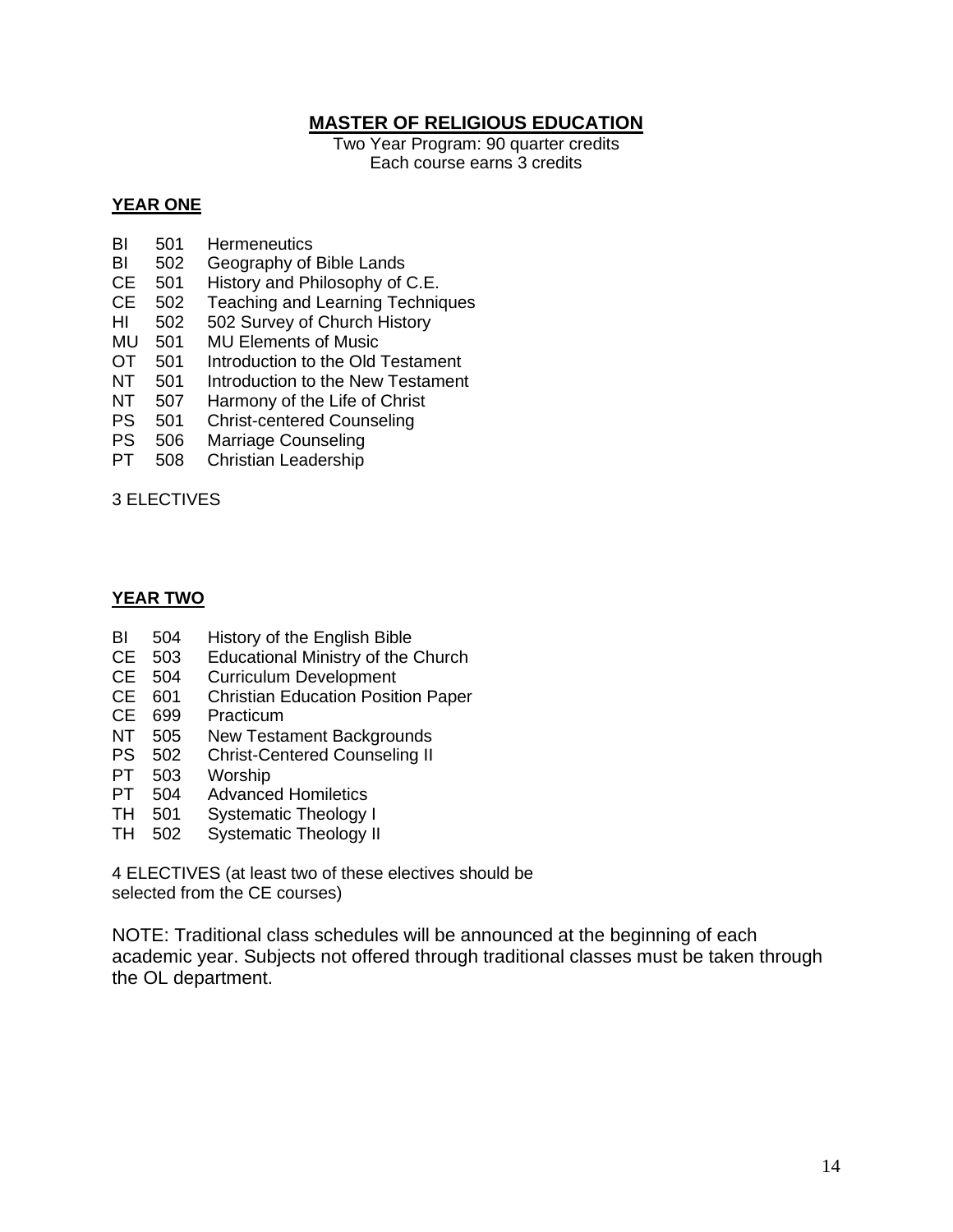#### **MASTER OF RELIGIOUS EDUCATION**

<span id="page-13-0"></span>Two Year Program: 90 quarter credits Each course earns 3 credits

#### **YEAR ONE**

- BI 501 Hermeneutics
- BI 502 Geography of Bible Lands
- CE 501 History and Philosophy of C.E.<br>CE 502 Teaching and Learning Technic
- Teaching and Learning Techniques
- HI 502 502 Survey of Church History
- MU 501 MU Elements of Music<br>OT 501 Introduction to the Old
- 501 Introduction to the Old Testament
- NT 501 Introduction to the New Testament
- NT 507 Harmony of the Life of Christ
- PS 501 Christ-centered Counseling
- PS 506 Marriage Counseling
- PT 508 Christian Leadership

3 ELECTIVES

#### **YEAR TWO**

- BI 504 History of the English Bible<br>CE 503 Educational Ministry of the 0
- CE 503 Educational Ministry of the Church<br>CE 504 Curriculum Development
- Curriculum Development
- CE 601 Christian Education Position Paper
- CE 699 Practicum
- NT 505 New Testament Backgrounds<br>PS 502 Christ-Centered Counseling II
- **Christ-Centered Counseling II**
- PT 503 Worship<br>PT 504 Advance
- PT 504 Advanced Homiletics<br>TH 501 Systematic Theology
- Systematic Theology I
- TH 502 Systematic Theology II

4 ELECTIVES (at least two of these electives should be selected from the CE courses)

NOTE: Traditional class schedules will be announced at the beginning of each academic year. Subjects not offered through traditional classes must be taken through the OL department.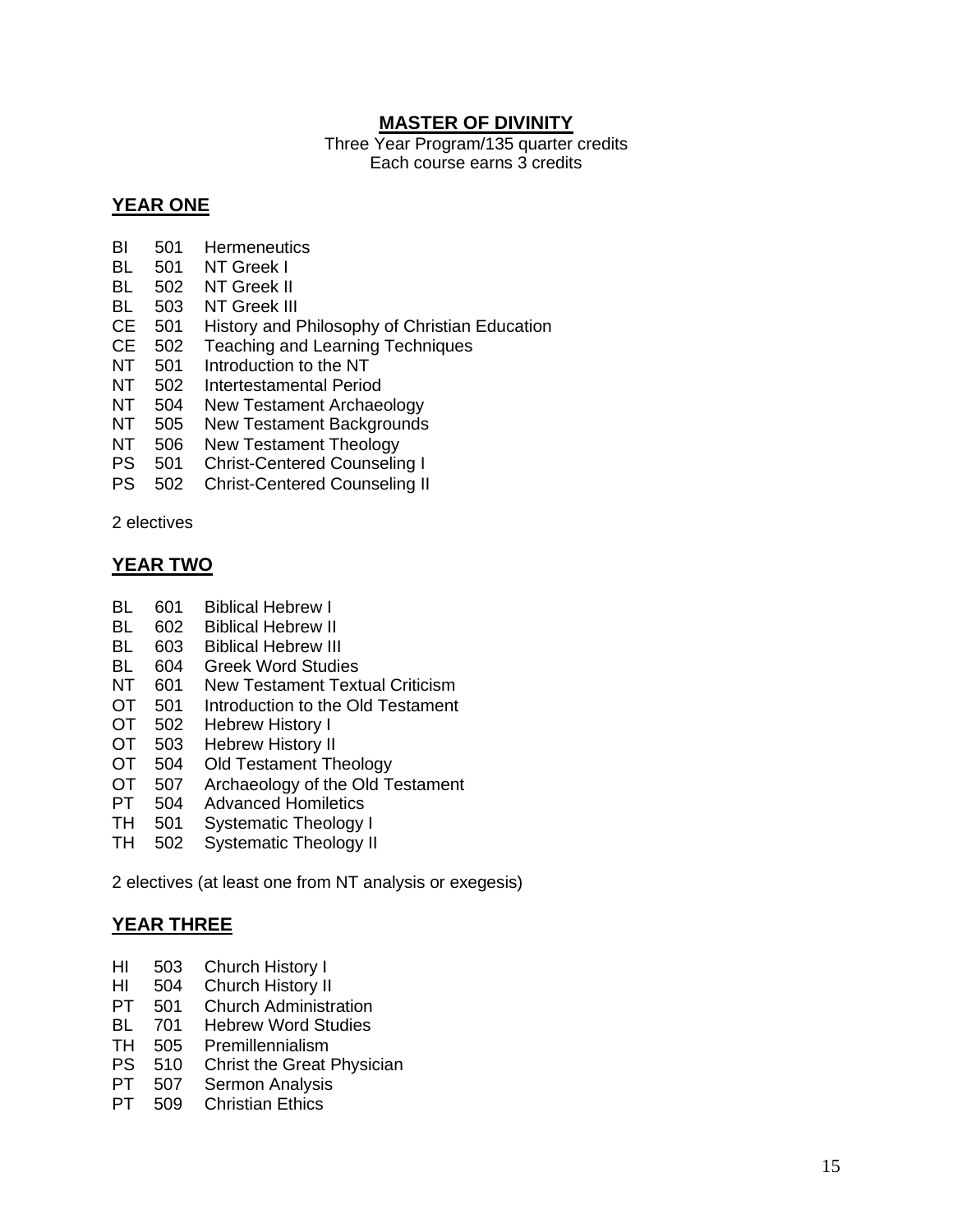#### <span id="page-14-0"></span>**MASTER OF DIVINITY**

Three Year Program/135 quarter credits Each course earns 3 credits

#### **YEAR ONE**

- BI 501 Hermeneutics
- BL 501 NT Greek I
- BL 502 NT Greek II
- BL 503 NT Greek III
- CE 501 History and Philosophy of Christian Education
- CE 502 Teaching and Learning Techniques
- NT 501 Introduction to the NT<br>NT 502 Intertestamental Perio
- Intertestamental Period
- NT 504 New Testament Archaeology
- NT 505 New Testament Backgrounds
- NT 506 New Testament Theology
- PS 501 Christ-Centered Counseling I
- PS 502 Christ-Centered Counseling II

2 electives

#### **YEAR TWO**

- BL 601 Biblical Hebrew I
- BL 602 Biblical Hebrew II
- BL 603 Biblical Hebrew III
- BL 604 Greek Word Studies
- NT 601 New Testament Textual Criticism
- OT 501 Introduction to the Old Testament
- OT 502 Hebrew History I
- OT 503 Hebrew History II<br>OT 504 Old Testament Th
- 504 Old Testament Theology
- OT 507 Archaeology of the Old Testament
- PT 504 Advanced Homiletics
- TH 501 Systematic Theology I
- TH 502 Systematic Theology II

2 electives (at least one from NT analysis or exegesis)

#### **YEAR THREE**

- HI 503 Church History I
- HI 504 Church History II<br>PT 501 Church Administr
- **Church Administration**
- BL 701 Hebrew Word Studies
- TH 505 Premillennialism
- PS 510 Christ the Great Physician
- PT 507 Sermon Analysis
- PT 509 Christian Ethics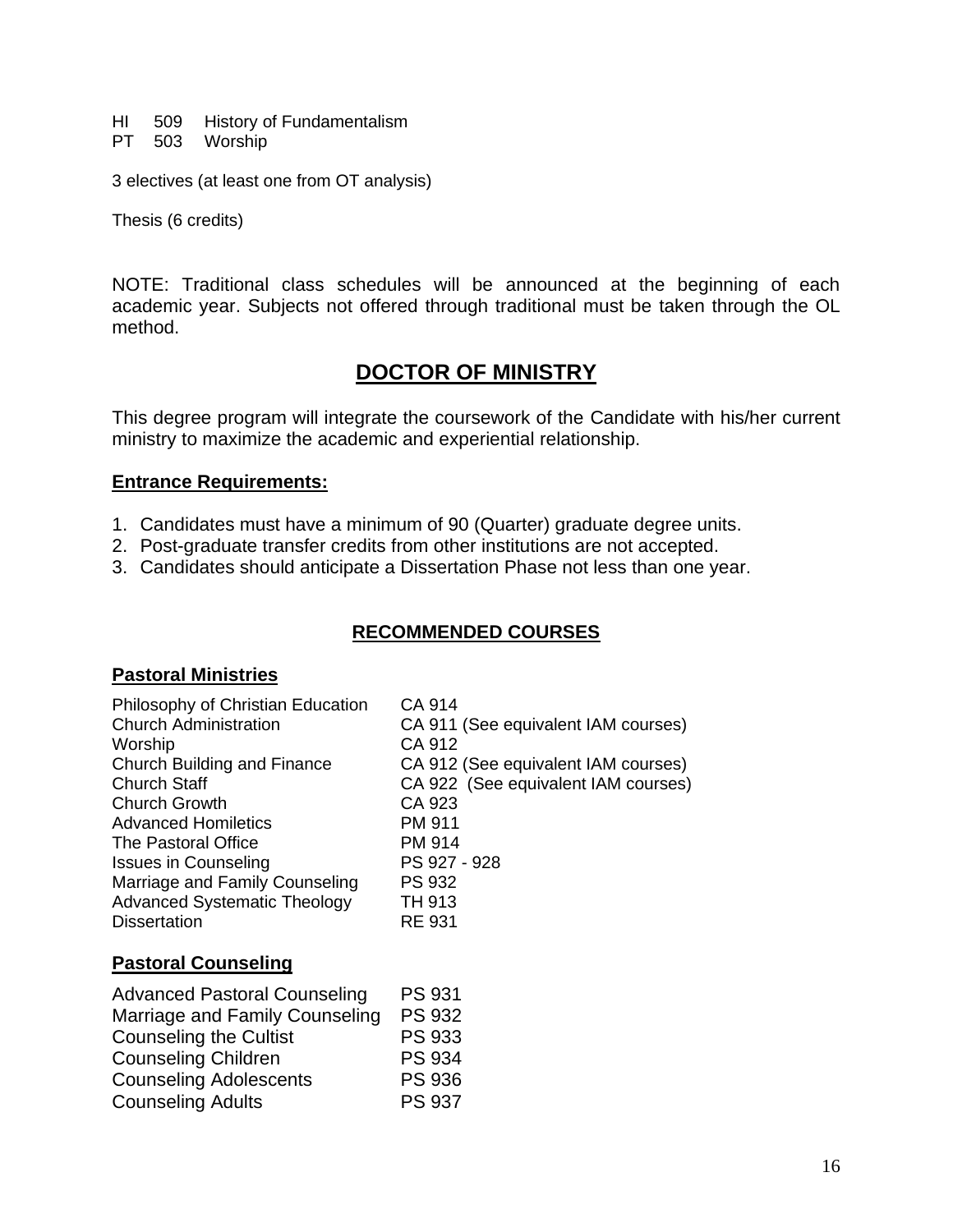HI 509 History of Fundamentalism PT 503 Worship

3 electives (at least one from OT analysis)

Thesis (6 credits)

NOTE: Traditional class schedules will be announced at the beginning of each academic year. Subjects not offered through traditional must be taken through the OL method.

## <span id="page-15-0"></span>**DOCTOR OF MINISTRY**

This degree program will integrate the coursework of the Candidate with his/her current ministry to maximize the academic and experiential relationship.

#### **Entrance Requirements:**

- 1. Candidates must have a minimum of 90 (Quarter) graduate degree units.
- 2. Post-graduate transfer credits from other institutions are not accepted.
- 3. Candidates should anticipate a Dissertation Phase not less than one year.

#### **RECOMMENDED COURSES**

#### **Pastoral Ministries**

| Philosophy of Christian Education   | CA 914                              |
|-------------------------------------|-------------------------------------|
| <b>Church Administration</b>        | CA 911 (See equivalent IAM courses) |
| Worship                             | CA 912                              |
| Church Building and Finance         | CA 912 (See equivalent IAM courses) |
| <b>Church Staff</b>                 | CA 922 (See equivalent IAM courses) |
| <b>Church Growth</b>                | CA 923                              |
| <b>Advanced Homiletics</b>          | PM 911                              |
| The Pastoral Office                 | PM 914                              |
| <b>Issues in Counseling</b>         | PS 927 - 928                        |
| Marriage and Family Counseling      | <b>PS 932</b>                       |
| <b>Advanced Systematic Theology</b> | TH 913                              |
| <b>Dissertation</b>                 | <b>RE 931</b>                       |
|                                     |                                     |

#### **Pastoral Counseling**

| <b>Advanced Pastoral Counseling</b> | <b>PS 931</b> |
|-------------------------------------|---------------|
| Marriage and Family Counseling      | <b>PS 932</b> |
| <b>Counseling the Cultist</b>       | <b>PS 933</b> |
| <b>Counseling Children</b>          | <b>PS 934</b> |
| <b>Counseling Adolescents</b>       | <b>PS 936</b> |
| <b>Counseling Adults</b>            | <b>PS 937</b> |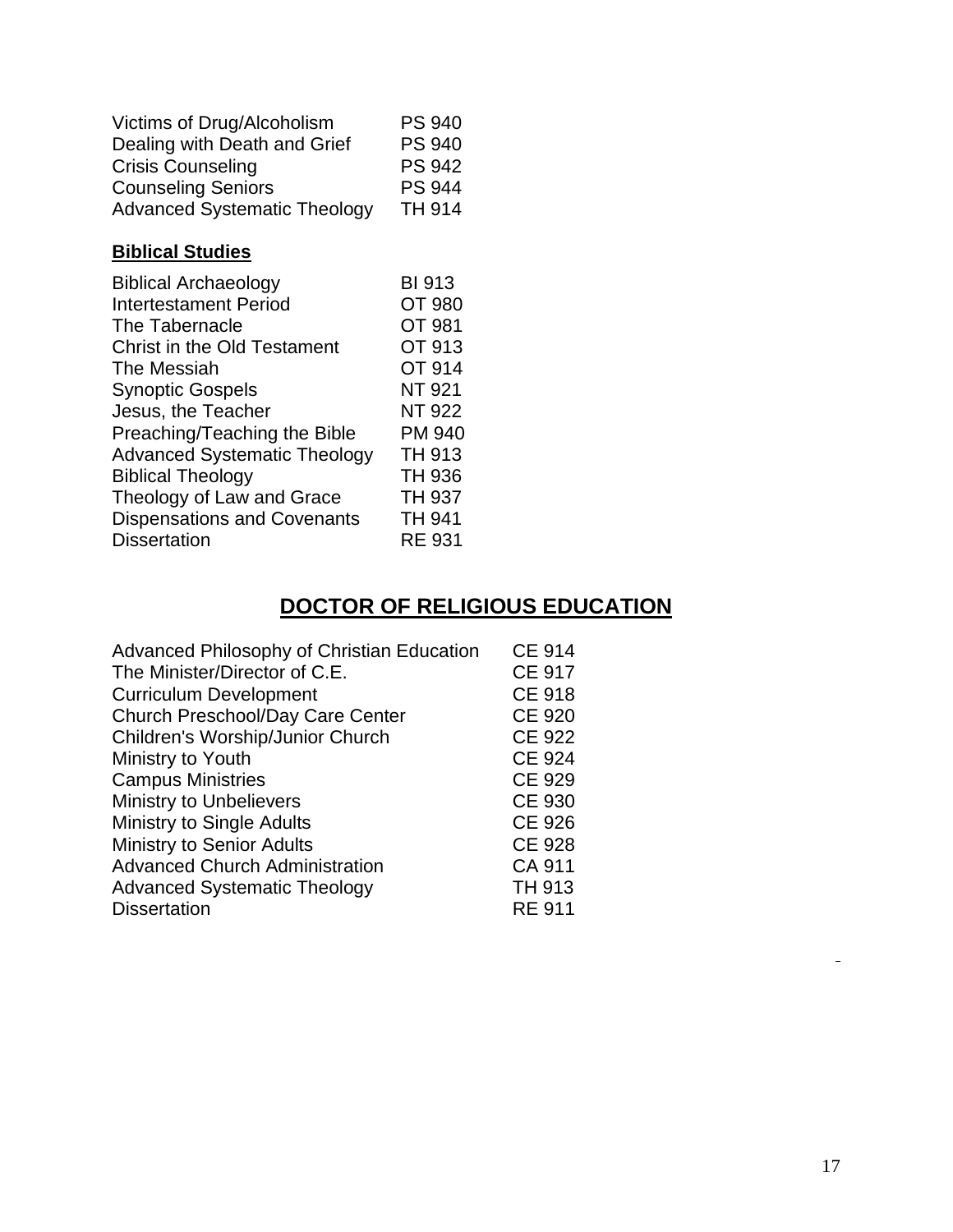| Victims of Drug/Alcoholism          | <b>PS 940</b> |
|-------------------------------------|---------------|
| Dealing with Death and Grief        | <b>PS 940</b> |
| <b>Crisis Counseling</b>            | <b>PS 942</b> |
| <b>Counseling Seniors</b>           | <b>PS 944</b> |
| <b>Advanced Systematic Theology</b> | <b>TH 914</b> |

## **Biblical Studies**

| <b>Biblical Archaeology</b>         | <b>BI 913</b> |
|-------------------------------------|---------------|
| <b>Intertestament Period</b>        | OT 980        |
| The Tabernacle                      | OT 981        |
| <b>Christ in the Old Testament</b>  | OT 913        |
| The Messiah                         | OT 914        |
| <b>Synoptic Gospels</b>             | <b>NT 921</b> |
| Jesus, the Teacher                  | <b>NT 922</b> |
| Preaching/Teaching the Bible        | <b>PM 940</b> |
| <b>Advanced Systematic Theology</b> | <b>TH 913</b> |
| <b>Biblical Theology</b>            | TH 936        |
| Theology of Law and Grace           | <b>TH 937</b> |
| <b>Dispensations and Covenants</b>  | TH 941        |
| <b>Dissertation</b>                 | <b>RE 931</b> |
|                                     |               |

# <span id="page-16-0"></span>**DOCTOR OF RELIGIOUS EDUCATION**

| <b>CE 914</b> |
|---------------|
| <b>CE 917</b> |
| <b>CE 918</b> |
| <b>CE 920</b> |
| <b>CE 922</b> |
| <b>CE 924</b> |
| <b>CE 929</b> |
| <b>CE 930</b> |
| <b>CE 926</b> |
| <b>CE 928</b> |
| CA 911        |
| <b>TH 913</b> |
| <b>RE 911</b> |
|               |

 $\blacksquare$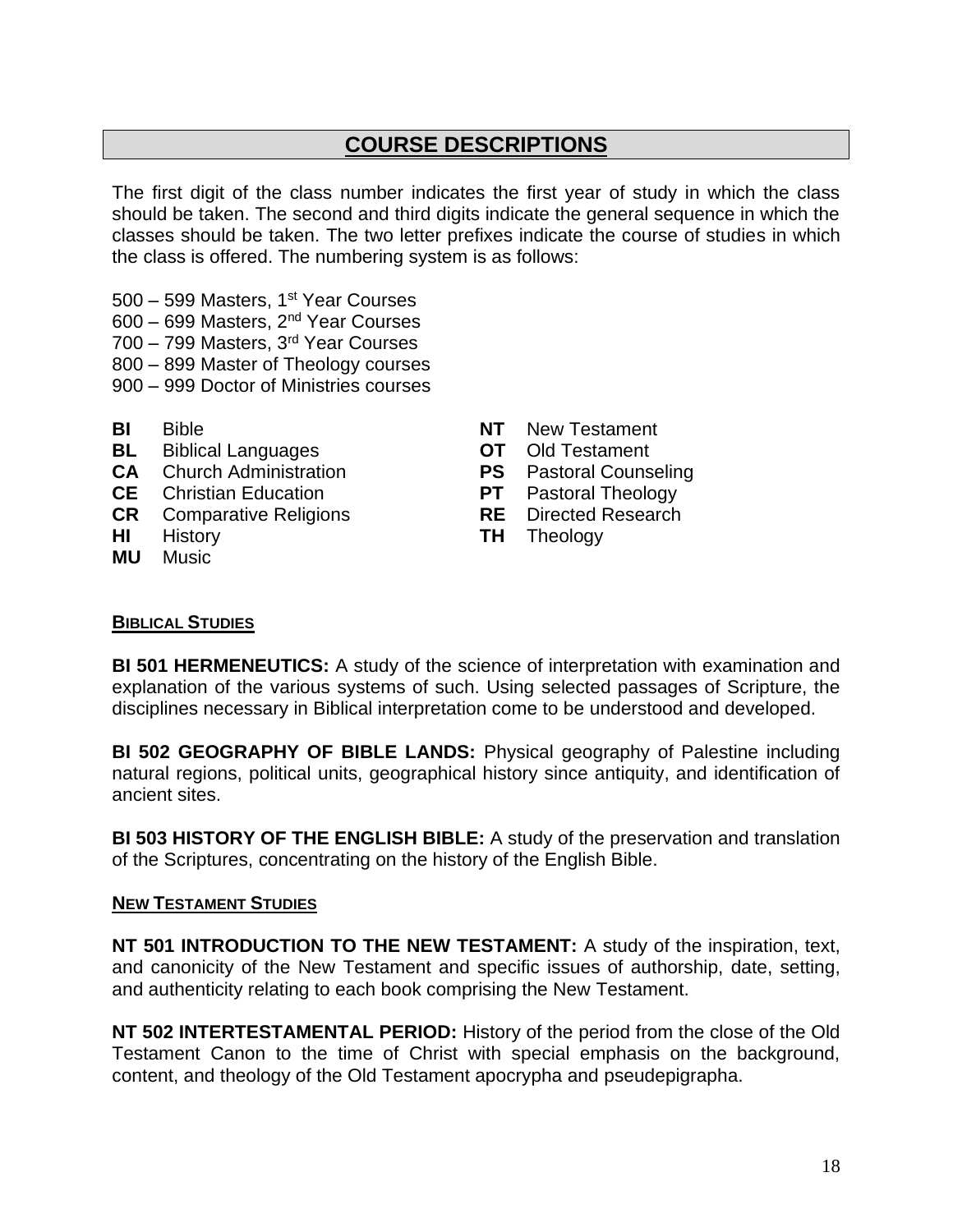## **COURSE DESCRIPTIONS**

The first digit of the class number indicates the first year of study in which the class should be taken. The second and third digits indicate the general sequence in which the classes should be taken. The two letter prefixes indicate the course of studies in which the class is offered. The numbering system is as follows:

- 500 599 Masters, 1<sup>st</sup> Year Courses
- 600 699 Masters, 2nd Year Courses
- 700 799 Masters, 3rd Year Courses
- 800 899 Master of Theology courses
- 900 999 Doctor of Ministries courses
- 
- **BL** Biblical Languages **OT** Old Testament
- **CA** Church Administration<br> **CE** Christian Education **PT** Pastoral Theology
- **CE** Christian Education **PT** Pastoral Theology
- **CR** Comparative Religions **RE** Directed Research
- 
- **MU** Music
- **BI** Bible **NT** New Testament
	-
	-
	-
	-
- **HI** History **TH** Theology

#### <span id="page-17-0"></span>**BIBLICAL STUDIES**

**BI 501 HERMENEUTICS:** A study of the science of interpretation with examination and explanation of the various systems of such. Using selected passages of Scripture, the disciplines necessary in Biblical interpretation come to be understood and developed.

**BI 502 GEOGRAPHY OF BIBLE LANDS:** Physical geography of Palestine including natural regions, political units, geographical history since antiquity, and identification of ancient sites.

**BI 503 HISTORY OF THE ENGLISH BIBLE:** A study of the preservation and translation of the Scriptures, concentrating on the history of the English Bible.

#### <span id="page-17-1"></span>**NEW TESTAMENT STUDIES**

**NT 501 INTRODUCTION TO THE NEW TESTAMENT:** A study of the inspiration, text, and canonicity of the New Testament and specific issues of authorship, date, setting, and authenticity relating to each book comprising the New Testament.

**NT 502 INTERTESTAMENTAL PERIOD:** History of the period from the close of the Old Testament Canon to the time of Christ with special emphasis on the background, content, and theology of the Old Testament apocrypha and pseudepigrapha.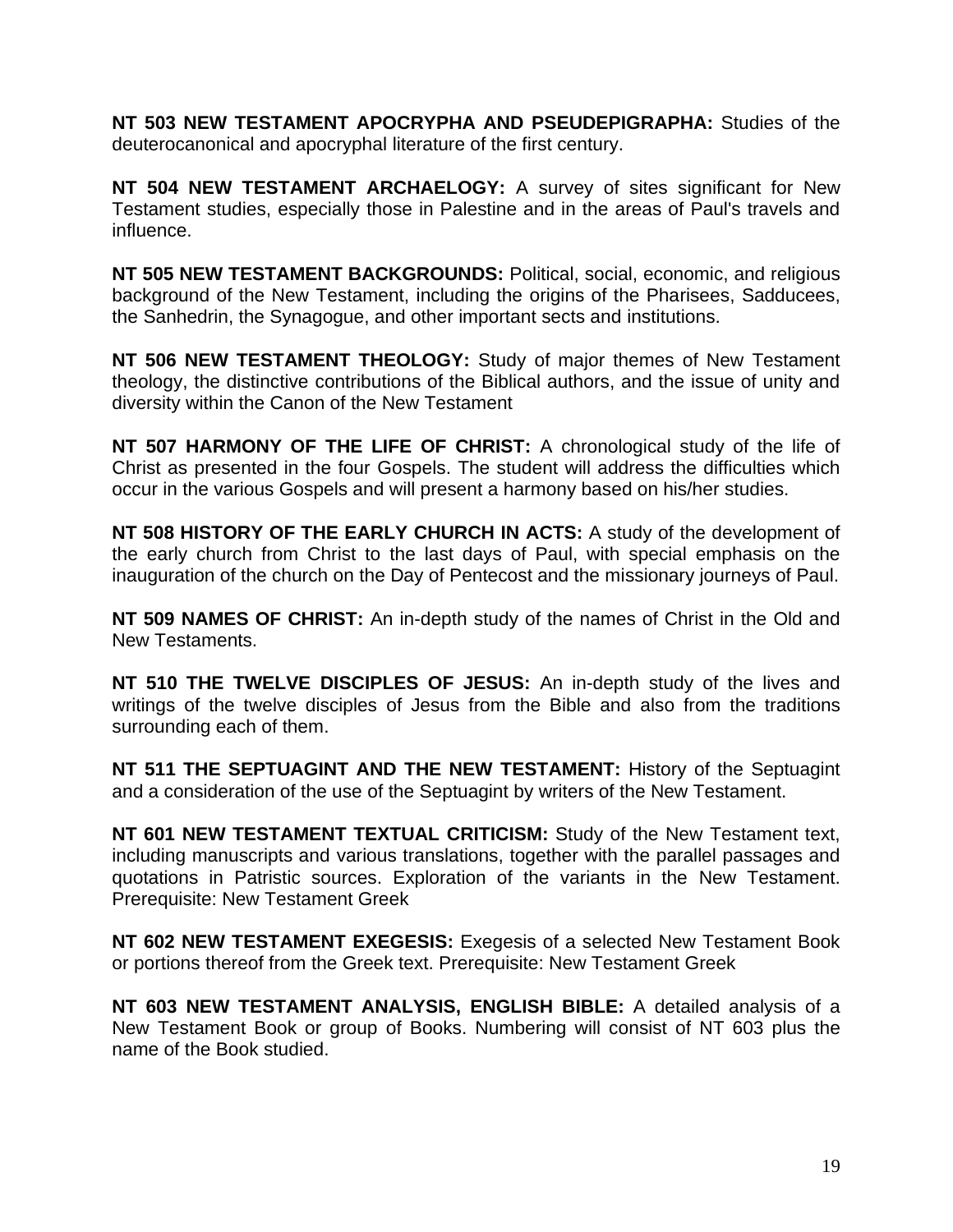**NT 503 NEW TESTAMENT APOCRYPHA AND PSEUDEPIGRAPHA:** Studies of the deuterocanonical and apocryphal literature of the first century.

**NT 504 NEW TESTAMENT ARCHAELOGY:** A survey of sites significant for New Testament studies, especially those in Palestine and in the areas of Paul's travels and influence.

**NT 505 NEW TESTAMENT BACKGROUNDS:** Political, social, economic, and religious background of the New Testament, including the origins of the Pharisees, Sadducees, the Sanhedrin, the Synagogue, and other important sects and institutions.

**NT 506 NEW TESTAMENT THEOLOGY:** Study of major themes of New Testament theology, the distinctive contributions of the Biblical authors, and the issue of unity and diversity within the Canon of the New Testament

**NT 507 HARMONY OF THE LIFE OF CHRIST:** A chronological study of the life of Christ as presented in the four Gospels. The student will address the difficulties which occur in the various Gospels and will present a harmony based on his/her studies.

**NT 508 HISTORY OF THE EARLY CHURCH IN ACTS:** A study of the development of the early church from Christ to the last days of Paul, with special emphasis on the inauguration of the church on the Day of Pentecost and the missionary journeys of Paul.

**NT 509 NAMES OF CHRIST:** An in-depth study of the names of Christ in the Old and New Testaments.

**NT 510 THE TWELVE DISCIPLES OF JESUS:** An in-depth study of the lives and writings of the twelve disciples of Jesus from the Bible and also from the traditions surrounding each of them.

**NT 511 THE SEPTUAGINT AND THE NEW TESTAMENT:** History of the Septuagint and a consideration of the use of the Septuagint by writers of the New Testament.

**NT 601 NEW TESTAMENT TEXTUAL CRITICISM:** Study of the New Testament text, including manuscripts and various translations, together with the parallel passages and quotations in Patristic sources. Exploration of the variants in the New Testament. Prerequisite: New Testament Greek

**NT 602 NEW TESTAMENT EXEGESIS:** Exegesis of a selected New Testament Book or portions thereof from the Greek text. Prerequisite: New Testament Greek

**NT 603 NEW TESTAMENT ANALYSIS, ENGLISH BIBLE:** A detailed analysis of a New Testament Book or group of Books. Numbering will consist of NT 603 plus the name of the Book studied.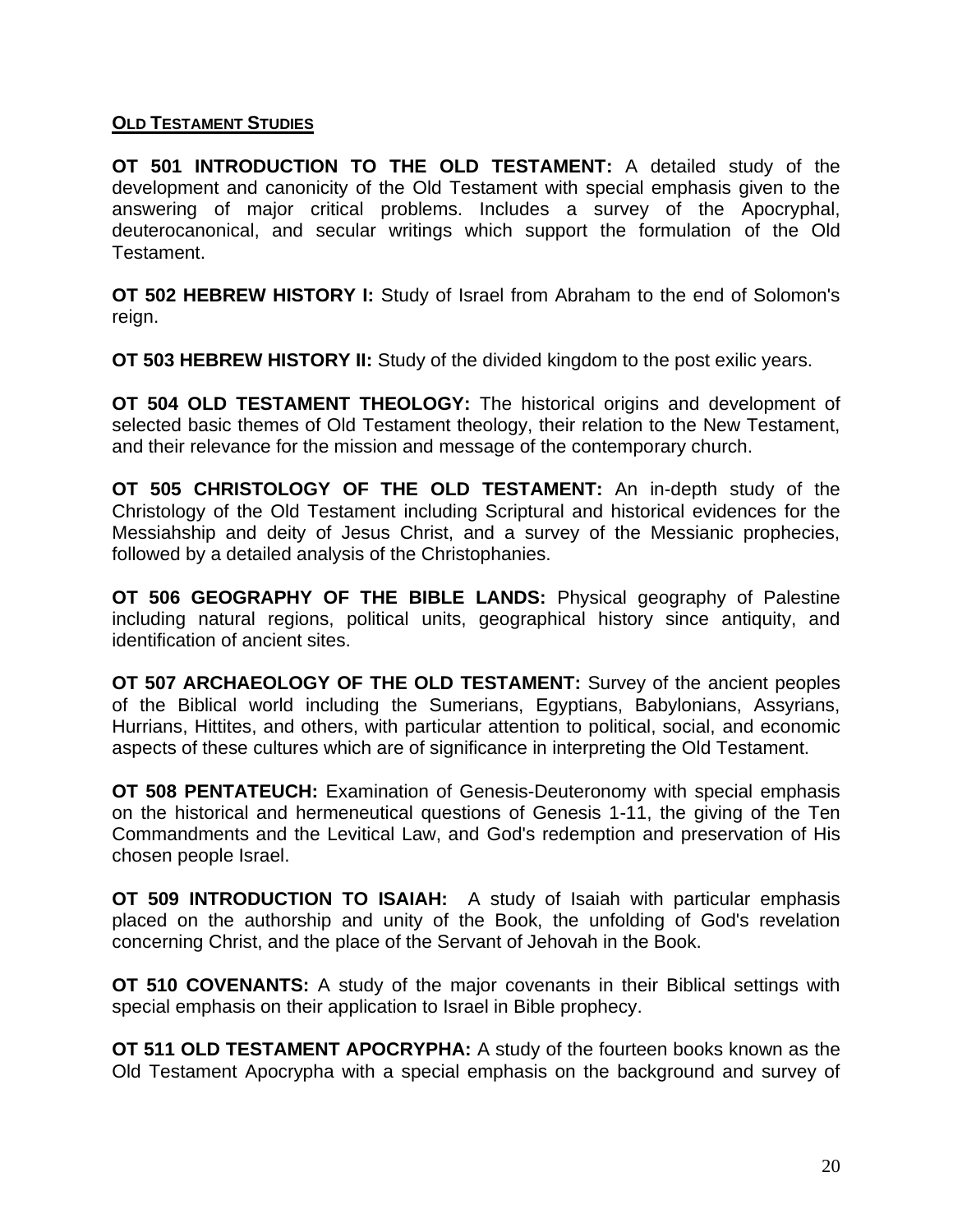#### <span id="page-19-0"></span>**OLD TESTAMENT STUDIES**

**OT 501 INTRODUCTION TO THE OLD TESTAMENT:** A detailed study of the development and canonicity of the Old Testament with special emphasis given to the answering of major critical problems. Includes a survey of the Apocryphal, deuterocanonical, and secular writings which support the formulation of the Old Testament.

**OT 502 HEBREW HISTORY I:** Study of Israel from Abraham to the end of Solomon's reign.

**OT 503 HEBREW HISTORY II:** Study of the divided kingdom to the post exilic years.

**OT 504 OLD TESTAMENT THEOLOGY:** The historical origins and development of selected basic themes of Old Testament theology, their relation to the New Testament, and their relevance for the mission and message of the contemporary church.

**OT 505 CHRISTOLOGY OF THE OLD TESTAMENT:** An in-depth study of the Christology of the Old Testament including Scriptural and historical evidences for the Messiahship and deity of Jesus Christ, and a survey of the Messianic prophecies, followed by a detailed analysis of the Christophanies.

**OT 506 GEOGRAPHY OF THE BIBLE LANDS:** Physical geography of Palestine including natural regions, political units, geographical history since antiquity, and identification of ancient sites.

**OT 507 ARCHAEOLOGY OF THE OLD TESTAMENT:** Survey of the ancient peoples of the Biblical world including the Sumerians, Egyptians, Babylonians, Assyrians, Hurrians, Hittites, and others, with particular attention to political, social, and economic aspects of these cultures which are of significance in interpreting the Old Testament.

**OT 508 PENTATEUCH:** Examination of Genesis-Deuteronomy with special emphasis on the historical and hermeneutical questions of Genesis 1-11, the giving of the Ten Commandments and the Levitical Law, and God's redemption and preservation of His chosen people Israel.

**OT 509 INTRODUCTION TO ISAIAH:** A study of Isaiah with particular emphasis placed on the authorship and unity of the Book, the unfolding of God's revelation concerning Christ, and the place of the Servant of Jehovah in the Book.

**OT 510 COVENANTS:** A study of the major covenants in their Biblical settings with special emphasis on their application to Israel in Bible prophecy.

**OT 511 OLD TESTAMENT APOCRYPHA:** A study of the fourteen books known as the Old Testament Apocrypha with a special emphasis on the background and survey of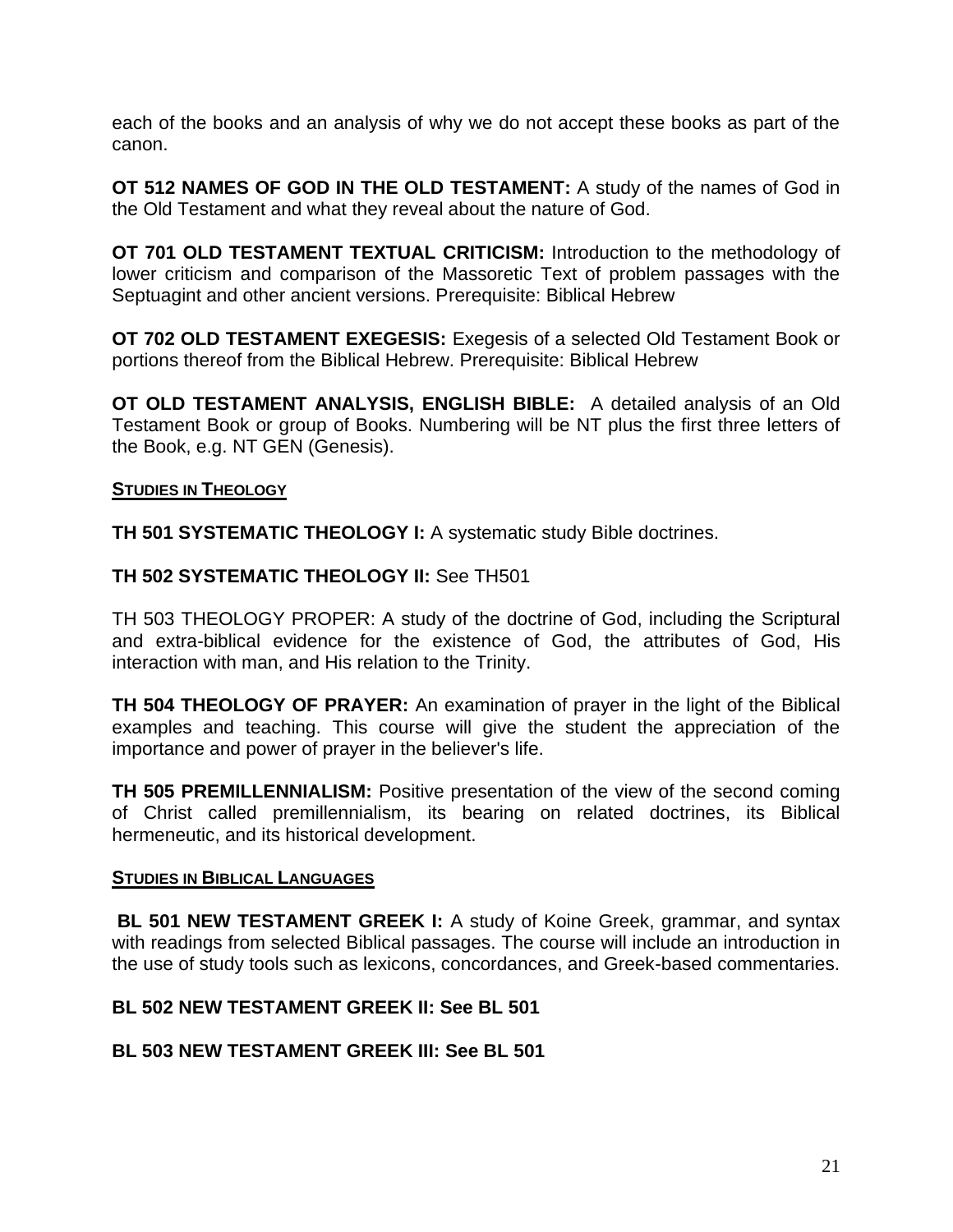each of the books and an analysis of why we do not accept these books as part of the canon.

**OT 512 NAMES OF GOD IN THE OLD TESTAMENT:** A study of the names of God in the Old Testament and what they reveal about the nature of God.

**OT 701 OLD TESTAMENT TEXTUAL CRITICISM:** Introduction to the methodology of lower criticism and comparison of the Massoretic Text of problem passages with the Septuagint and other ancient versions. Prerequisite: Biblical Hebrew

**OT 702 OLD TESTAMENT EXEGESIS:** Exegesis of a selected Old Testament Book or portions thereof from the Biblical Hebrew. Prerequisite: Biblical Hebrew

**OT OLD TESTAMENT ANALYSIS, ENGLISH BIBLE:** A detailed analysis of an Old Testament Book or group of Books. Numbering will be NT plus the first three letters of the Book, e.g. NT GEN (Genesis).

#### <span id="page-20-0"></span>**STUDIES IN THEOLOGY**

**TH 501 SYSTEMATIC THEOLOGY I:** A systematic study Bible doctrines.

#### **TH 502 SYSTEMATIC THEOLOGY II:** See TH501

TH 503 THEOLOGY PROPER: A study of the doctrine of God, including the Scriptural and extra-biblical evidence for the existence of God, the attributes of God, His interaction with man, and His relation to the Trinity.

**TH 504 THEOLOGY OF PRAYER:** An examination of prayer in the light of the Biblical examples and teaching. This course will give the student the appreciation of the importance and power of prayer in the believer's life.

**TH 505 PREMILLENNIALISM:** Positive presentation of the view of the second coming of Christ called premillennialism, its bearing on related doctrines, its Biblical hermeneutic, and its historical development.

#### <span id="page-20-1"></span>**STUDIES IN BIBLICAL LANGUAGES**

**BL 501 NEW TESTAMENT GREEK I:** A study of Koine Greek, grammar, and syntax with readings from selected Biblical passages. The course will include an introduction in the use of study tools such as lexicons, concordances, and Greek-based commentaries.

#### **BL 502 NEW TESTAMENT GREEK II: See BL 501**

#### **BL 503 NEW TESTAMENT GREEK III: See BL 501**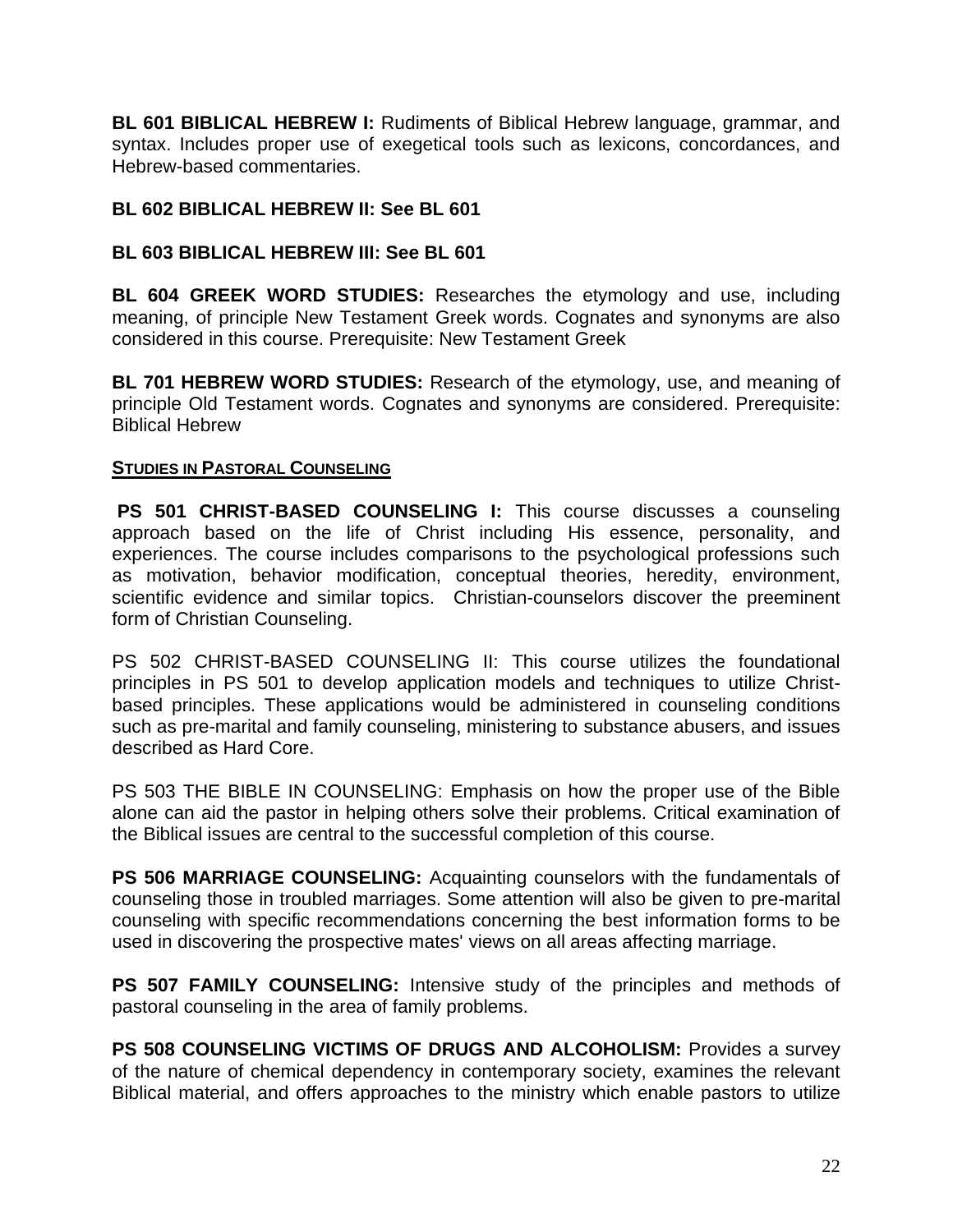**BL 601 BIBLICAL HEBREW I:** Rudiments of Biblical Hebrew language, grammar, and syntax. Includes proper use of exegetical tools such as lexicons, concordances, and Hebrew-based commentaries.

#### **BL 602 BIBLICAL HEBREW II: See BL 601**

#### **BL 603 BIBLICAL HEBREW III: See BL 601**

**BL 604 GREEK WORD STUDIES:** Researches the etymology and use, including meaning, of principle New Testament Greek words. Cognates and synonyms are also considered in this course. Prerequisite: New Testament Greek

**BL 701 HEBREW WORD STUDIES:** Research of the etymology, use, and meaning of principle Old Testament words. Cognates and synonyms are considered. Prerequisite: Biblical Hebrew

#### <span id="page-21-0"></span>**STUDIES IN PASTORAL COUNSELING**

**PS 501 CHRIST-BASED COUNSELING I:** This course discusses a counseling approach based on the life of Christ including His essence, personality, and experiences. The course includes comparisons to the psychological professions such as motivation, behavior modification, conceptual theories, heredity, environment, scientific evidence and similar topics. Christian-counselors discover the preeminent form of Christian Counseling.

PS 502 CHRIST-BASED COUNSELING II: This course utilizes the foundational principles in PS 501 to develop application models and techniques to utilize Christbased principles. These applications would be administered in counseling conditions such as pre-marital and family counseling, ministering to substance abusers, and issues described as Hard Core.

PS 503 THE BIBLE IN COUNSELING: Emphasis on how the proper use of the Bible alone can aid the pastor in helping others solve their problems. Critical examination of the Biblical issues are central to the successful completion of this course.

**PS 506 MARRIAGE COUNSELING:** Acquainting counselors with the fundamentals of counseling those in troubled marriages. Some attention will also be given to pre-marital counseling with specific recommendations concerning the best information forms to be used in discovering the prospective mates' views on all areas affecting marriage.

**PS 507 FAMILY COUNSELING:** Intensive study of the principles and methods of pastoral counseling in the area of family problems.

**PS 508 COUNSELING VICTIMS OF DRUGS AND ALCOHOLISM:** Provides a survey of the nature of chemical dependency in contemporary society, examines the relevant Biblical material, and offers approaches to the ministry which enable pastors to utilize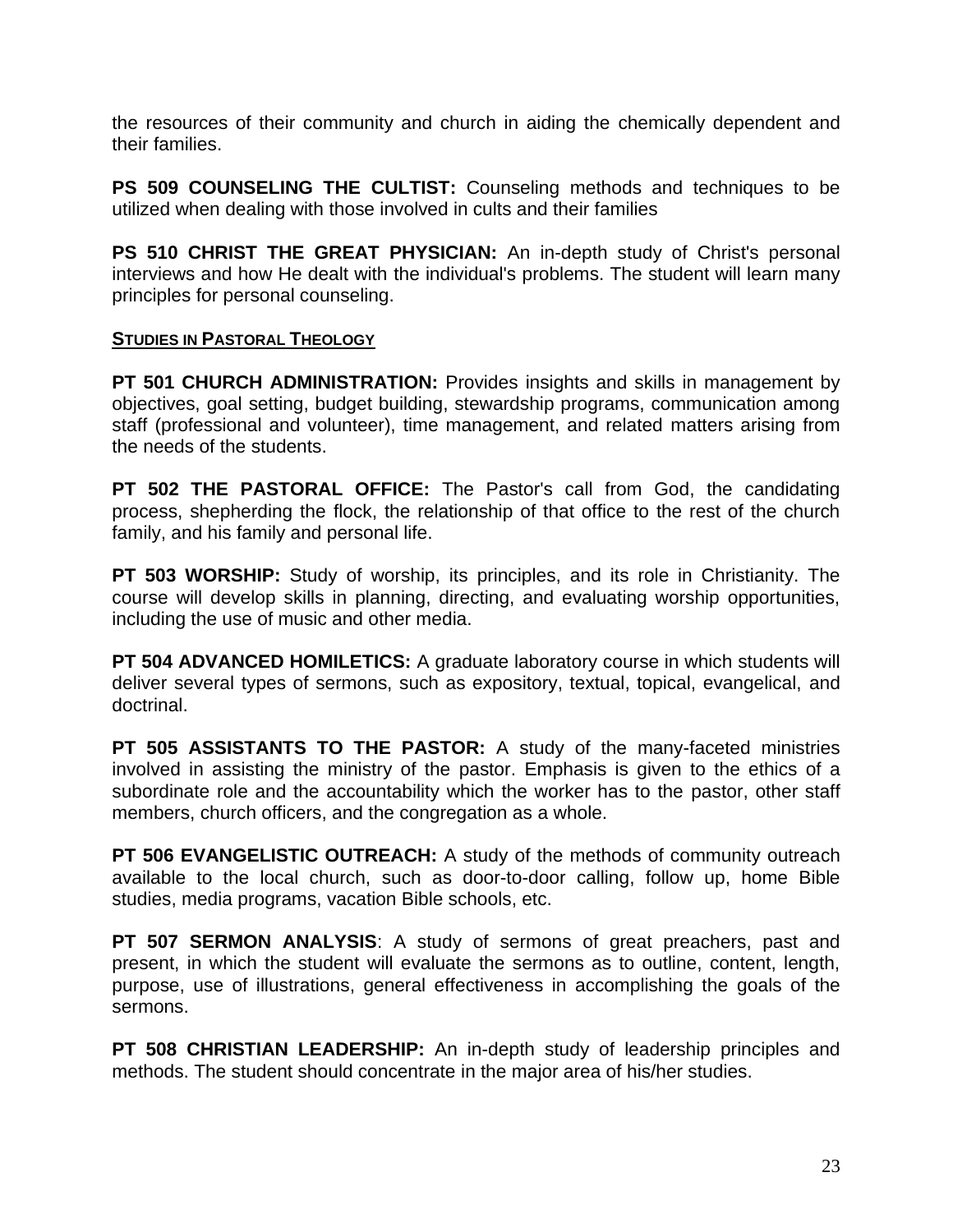the resources of their community and church in aiding the chemically dependent and their families.

**PS 509 COUNSELING THE CULTIST:** Counseling methods and techniques to be utilized when dealing with those involved in cults and their families

**PS 510 CHRIST THE GREAT PHYSICIAN:** An in-depth study of Christ's personal interviews and how He dealt with the individual's problems. The student will learn many principles for personal counseling.

#### <span id="page-22-0"></span>**STUDIES IN PASTORAL THEOLOGY**

**PT 501 CHURCH ADMINISTRATION:** Provides insights and skills in management by objectives, goal setting, budget building, stewardship programs, communication among staff (professional and volunteer), time management, and related matters arising from the needs of the students.

**PT 502 THE PASTORAL OFFICE:** The Pastor's call from God, the candidating process, shepherding the flock, the relationship of that office to the rest of the church family, and his family and personal life.

**PT 503 WORSHIP:** Study of worship, its principles, and its role in Christianity. The course will develop skills in planning, directing, and evaluating worship opportunities, including the use of music and other media.

**PT 504 ADVANCED HOMILETICS:** A graduate laboratory course in which students will deliver several types of sermons, such as expository, textual, topical, evangelical, and doctrinal.

**PT 505 ASSISTANTS TO THE PASTOR:** A study of the many-faceted ministries involved in assisting the ministry of the pastor. Emphasis is given to the ethics of a subordinate role and the accountability which the worker has to the pastor, other staff members, church officers, and the congregation as a whole.

**PT 506 EVANGELISTIC OUTREACH:** A study of the methods of community outreach available to the local church, such as door-to-door calling, follow up, home Bible studies, media programs, vacation Bible schools, etc.

**PT 507 SERMON ANALYSIS**: A study of sermons of great preachers, past and present, in which the student will evaluate the sermons as to outline, content, length, purpose, use of illustrations, general effectiveness in accomplishing the goals of the sermons.

**PT 508 CHRISTIAN LEADERSHIP:** An in-depth study of leadership principles and methods. The student should concentrate in the major area of his/her studies.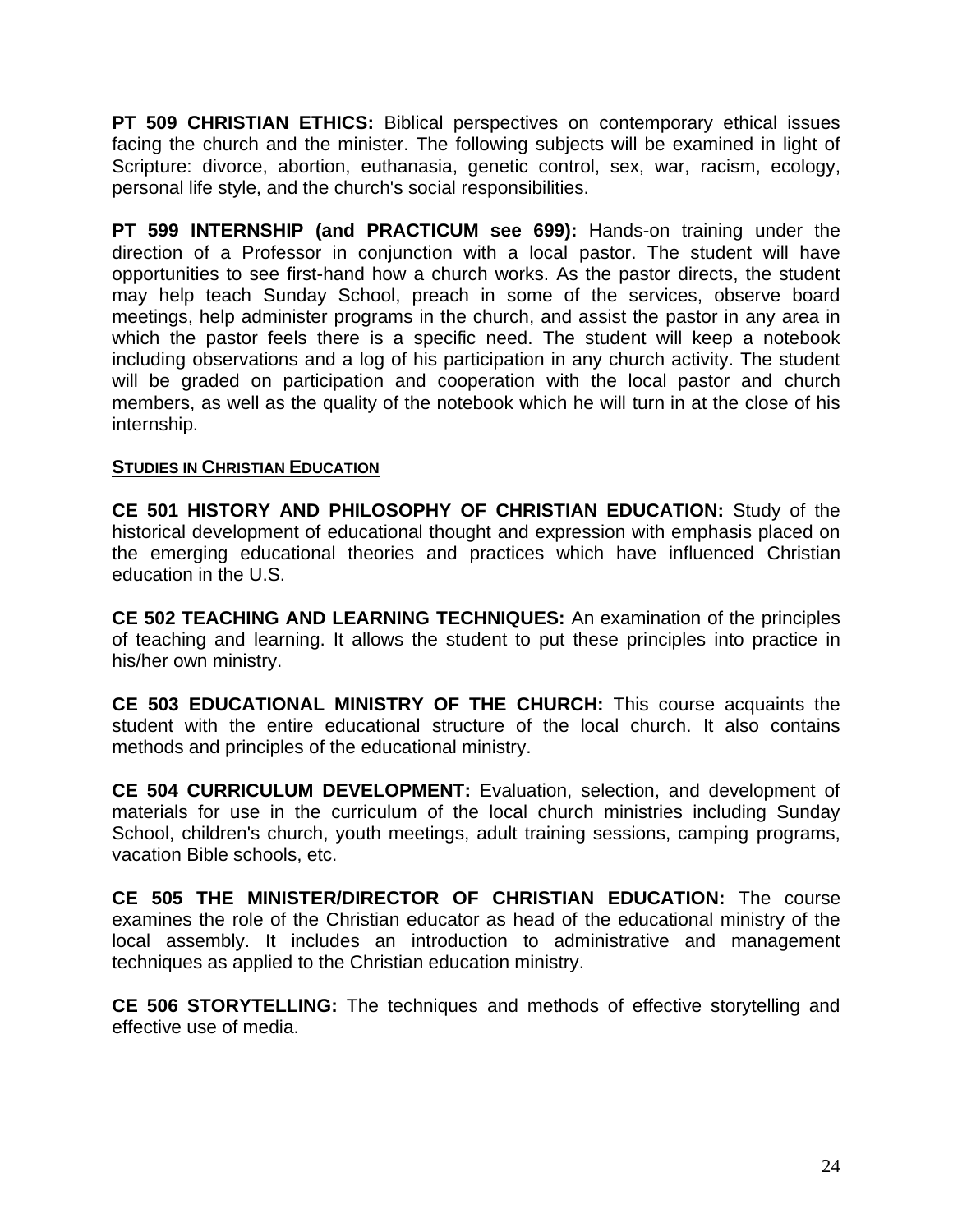**PT 509 CHRISTIAN ETHICS:** Biblical perspectives on contemporary ethical issues facing the church and the minister. The following subjects will be examined in light of Scripture: divorce, abortion, euthanasia, genetic control, sex, war, racism, ecology, personal life style, and the church's social responsibilities.

**PT 599 INTERNSHIP (and PRACTICUM see 699):** Hands-on training under the direction of a Professor in conjunction with a local pastor. The student will have opportunities to see first-hand how a church works. As the pastor directs, the student may help teach Sunday School, preach in some of the services, observe board meetings, help administer programs in the church, and assist the pastor in any area in which the pastor feels there is a specific need. The student will keep a notebook including observations and a log of his participation in any church activity. The student will be graded on participation and cooperation with the local pastor and church members, as well as the quality of the notebook which he will turn in at the close of his internship.

#### <span id="page-23-0"></span>**STUDIES IN CHRISTIAN EDUCATION**

**CE 501 HISTORY AND PHILOSOPHY OF CHRISTIAN EDUCATION:** Study of the historical development of educational thought and expression with emphasis placed on the emerging educational theories and practices which have influenced Christian education in the U.S.

**CE 502 TEACHING AND LEARNING TECHNIQUES:** An examination of the principles of teaching and learning. It allows the student to put these principles into practice in his/her own ministry.

**CE 503 EDUCATIONAL MINISTRY OF THE CHURCH:** This course acquaints the student with the entire educational structure of the local church. It also contains methods and principles of the educational ministry.

**CE 504 CURRICULUM DEVELOPMENT:** Evaluation, selection, and development of materials for use in the curriculum of the local church ministries including Sunday School, children's church, youth meetings, adult training sessions, camping programs, vacation Bible schools, etc.

**CE 505 THE MINISTER/DIRECTOR OF CHRISTIAN EDUCATION:** The course examines the role of the Christian educator as head of the educational ministry of the local assembly. It includes an introduction to administrative and management techniques as applied to the Christian education ministry.

**CE 506 STORYTELLING:** The techniques and methods of effective storytelling and effective use of media.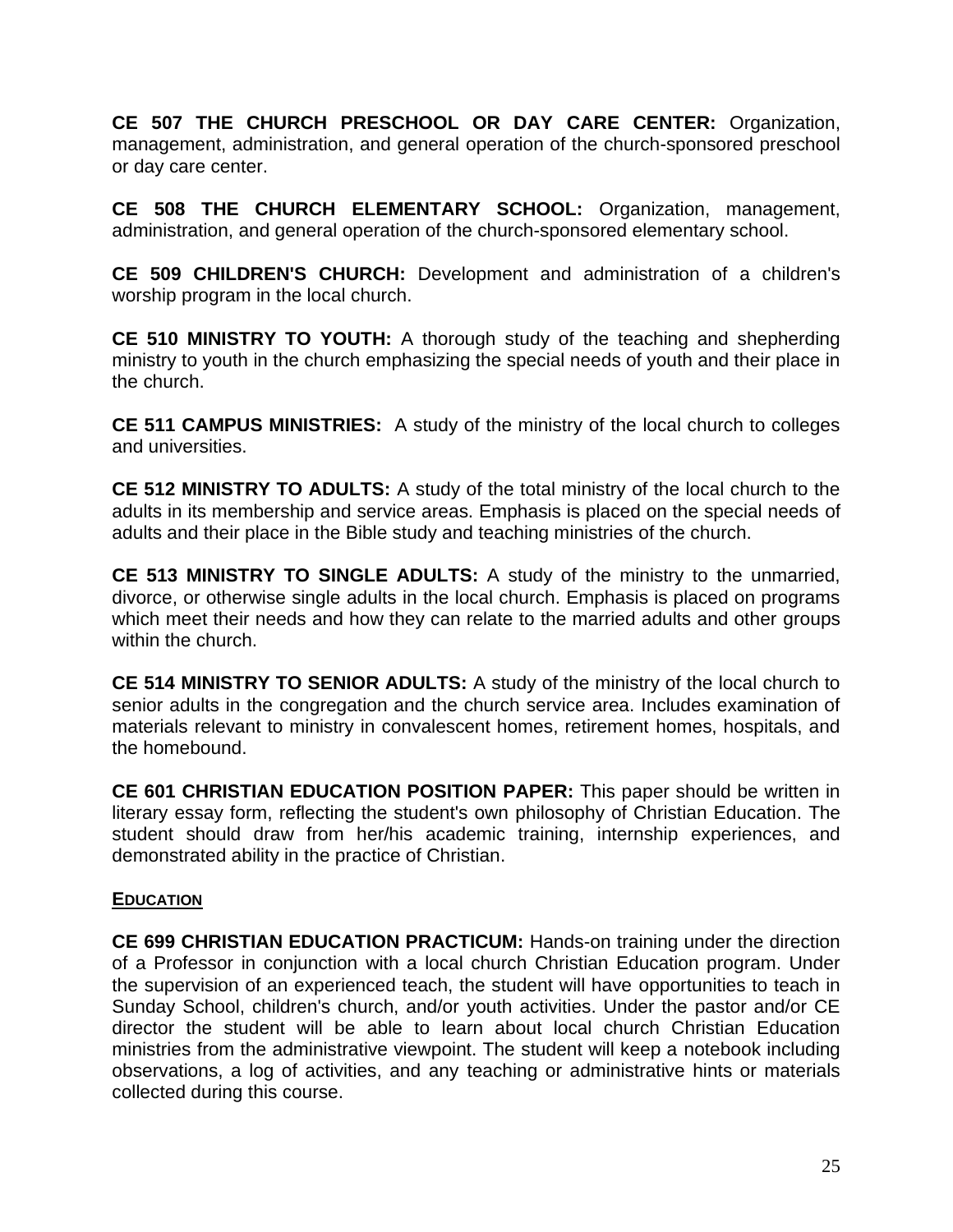**CE 507 THE CHURCH PRESCHOOL OR DAY CARE CENTER:** Organization, management, administration, and general operation of the church-sponsored preschool or day care center.

**CE 508 THE CHURCH ELEMENTARY SCHOOL:** Organization, management, administration, and general operation of the church-sponsored elementary school.

**CE 509 CHILDREN'S CHURCH:** Development and administration of a children's worship program in the local church.

**CE 510 MINISTRY TO YOUTH:** A thorough study of the teaching and shepherding ministry to youth in the church emphasizing the special needs of youth and their place in the church.

**CE 511 CAMPUS MINISTRIES:** A study of the ministry of the local church to colleges and universities.

**CE 512 MINISTRY TO ADULTS:** A study of the total ministry of the local church to the adults in its membership and service areas. Emphasis is placed on the special needs of adults and their place in the Bible study and teaching ministries of the church.

**CE 513 MINISTRY TO SINGLE ADULTS:** A study of the ministry to the unmarried, divorce, or otherwise single adults in the local church. Emphasis is placed on programs which meet their needs and how they can relate to the married adults and other groups within the church.

**CE 514 MINISTRY TO SENIOR ADULTS:** A study of the ministry of the local church to senior adults in the congregation and the church service area. Includes examination of materials relevant to ministry in convalescent homes, retirement homes, hospitals, and the homebound.

**CE 601 CHRISTIAN EDUCATION POSITION PAPER:** This paper should be written in literary essay form, reflecting the student's own philosophy of Christian Education. The student should draw from her/his academic training, internship experiences, and demonstrated ability in the practice of Christian.

#### <span id="page-24-0"></span>**EDUCATION**

**CE 699 CHRISTIAN EDUCATION PRACTICUM:** Hands-on training under the direction of a Professor in conjunction with a local church Christian Education program. Under the supervision of an experienced teach, the student will have opportunities to teach in Sunday School, children's church, and/or youth activities. Under the pastor and/or CE director the student will be able to learn about local church Christian Education ministries from the administrative viewpoint. The student will keep a notebook including observations, a log of activities, and any teaching or administrative hints or materials collected during this course.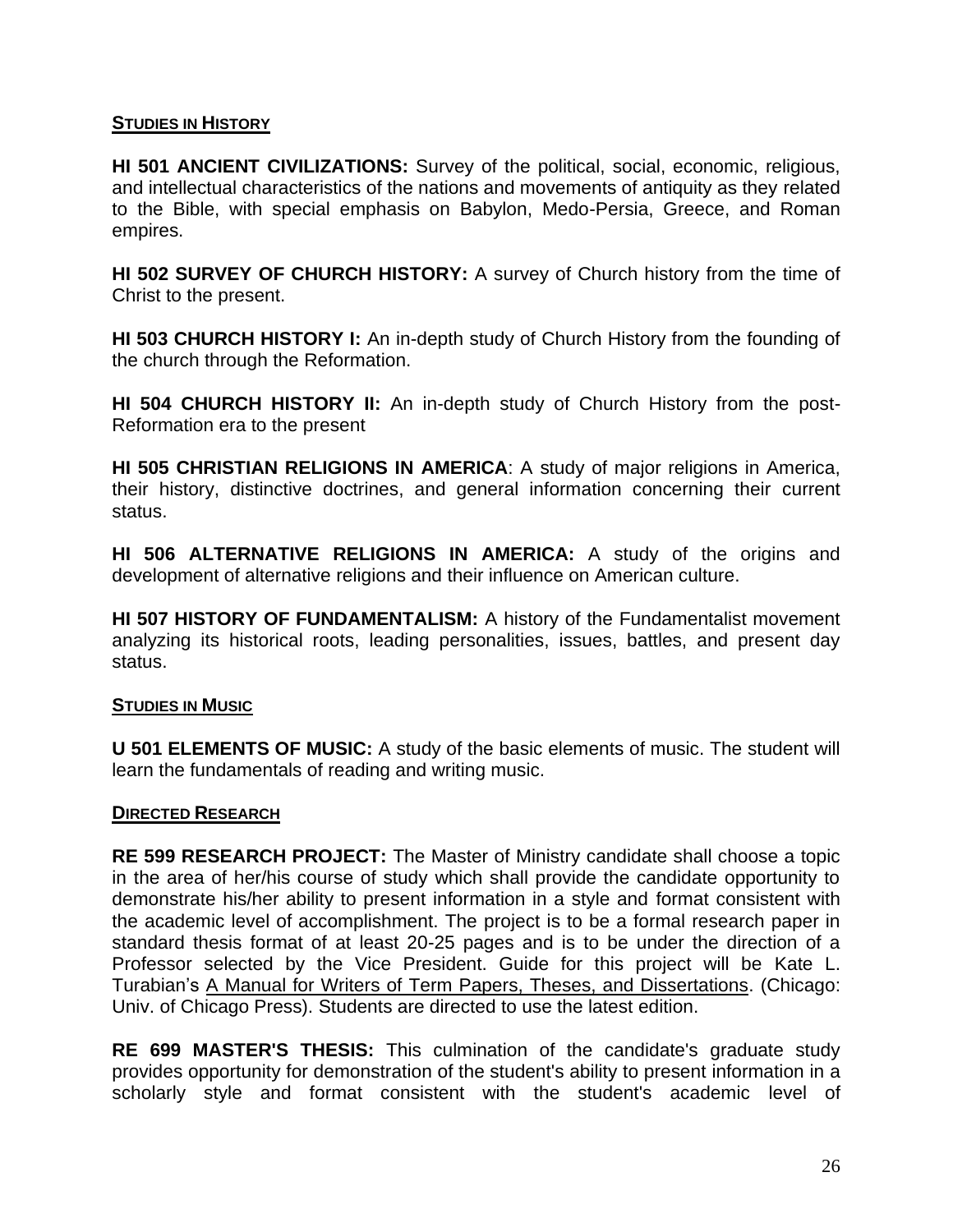#### **STUDIES IN HISTORY**

**HI 501 ANCIENT CIVILIZATIONS:** Survey of the political, social, economic, religious, and intellectual characteristics of the nations and movements of antiquity as they related to the Bible, with special emphasis on Babylon, Medo-Persia, Greece, and Roman empires.

**HI 502 SURVEY OF CHURCH HISTORY:** A survey of Church history from the time of Christ to the present.

**HI 503 CHURCH HISTORY I:** An in-depth study of Church History from the founding of the church through the Reformation.

**HI 504 CHURCH HISTORY II:** An in-depth study of Church History from the post-Reformation era to the present

**HI 505 CHRISTIAN RELIGIONS IN AMERICA**: A study of major religions in America, their history, distinctive doctrines, and general information concerning their current status.

**HI 506 ALTERNATIVE RELIGIONS IN AMERICA:** A study of the origins and development of alternative religions and their influence on American culture.

**HI 507 HISTORY OF FUNDAMENTALISM:** A history of the Fundamentalist movement analyzing its historical roots, leading personalities, issues, battles, and present day status.

#### **STUDIES IN MUSIC**

**U 501 ELEMENTS OF MUSIC:** A study of the basic elements of music. The student will learn the fundamentals of reading and writing music.

#### **DIRECTED RESEARCH**

**RE 599 RESEARCH PROJECT:** The Master of Ministry candidate shall choose a topic in the area of her/his course of study which shall provide the candidate opportunity to demonstrate his/her ability to present information in a style and format consistent with the academic level of accomplishment. The project is to be a formal research paper in standard thesis format of at least 20-25 pages and is to be under the direction of a Professor selected by the Vice President. Guide for this project will be Kate L. Turabian's A Manual for Writers of Term Papers, Theses, and Dissertations. (Chicago: Univ. of Chicago Press). Students are directed to use the latest edition.

**RE 699 MASTER'S THESIS:** This culmination of the candidate's graduate study provides opportunity for demonstration of the student's ability to present information in a scholarly style and format consistent with the student's academic level of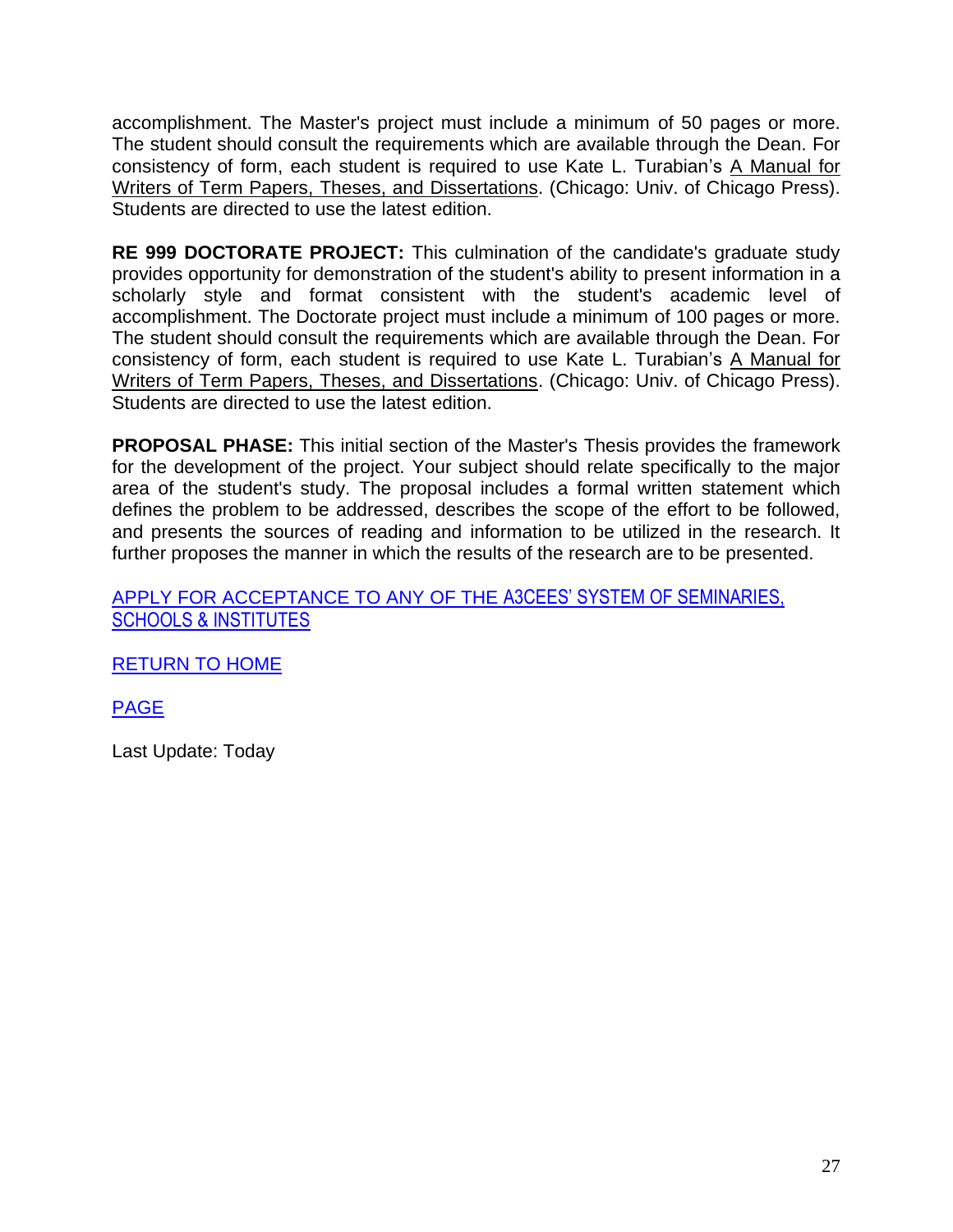accomplishment. The Master's project must include a minimum of 50 pages or more. The student should consult the requirements which are available through the Dean. For consistency of form, each student is required to use Kate L. Turabian's A Manual for Writers of Term Papers, Theses, and Dissertations. (Chicago: Univ. of Chicago Press). Students are directed to use the latest edition.

**RE 999 DOCTORATE PROJECT:** This culmination of the candidate's graduate study provides opportunity for demonstration of the student's ability to present information in a scholarly style and format consistent with the student's academic level of accomplishment. The Doctorate project must include a minimum of 100 pages or more. The student should consult the requirements which are available through the Dean. For consistency of form, each student is required to use Kate L. Turabian's A Manual for Writers of Term Papers, Theses, and Dissertations. (Chicago: Univ. of Chicago Press). Students are directed to use the latest edition.

**PROPOSAL PHASE:** This initial section of the Master's Thesis provides the framework for the development of the project. Your subject should relate specifically to the major area of the student's study. The proposal includes a formal written statement which defines the problem to be addressed, describes the scope of the effort to be followed, and presents the sources of reading and information to be utilized in the research. It further proposes the manner in which the results of the research are to be presented.

APPLY FOR ACCEPTANCE TO ANY OF THE [A3CEES' SYSTEM OF SEMINARI](http://members.aol.com/cpcsincal/cpcsapp.htm)[ES,](http://members.aol.com/cpcsincal/cpcsapp.htm)  [SCHOOLS & INSTITUTES](http://members.aol.com/cpcsincal/cpcsapp.htm)

[RETURN TO HOME](http://collegeplex.org/AIIintro.htm)

[PAGE](http://collegeplex.org/AIIintro.htm)

Last Update: Today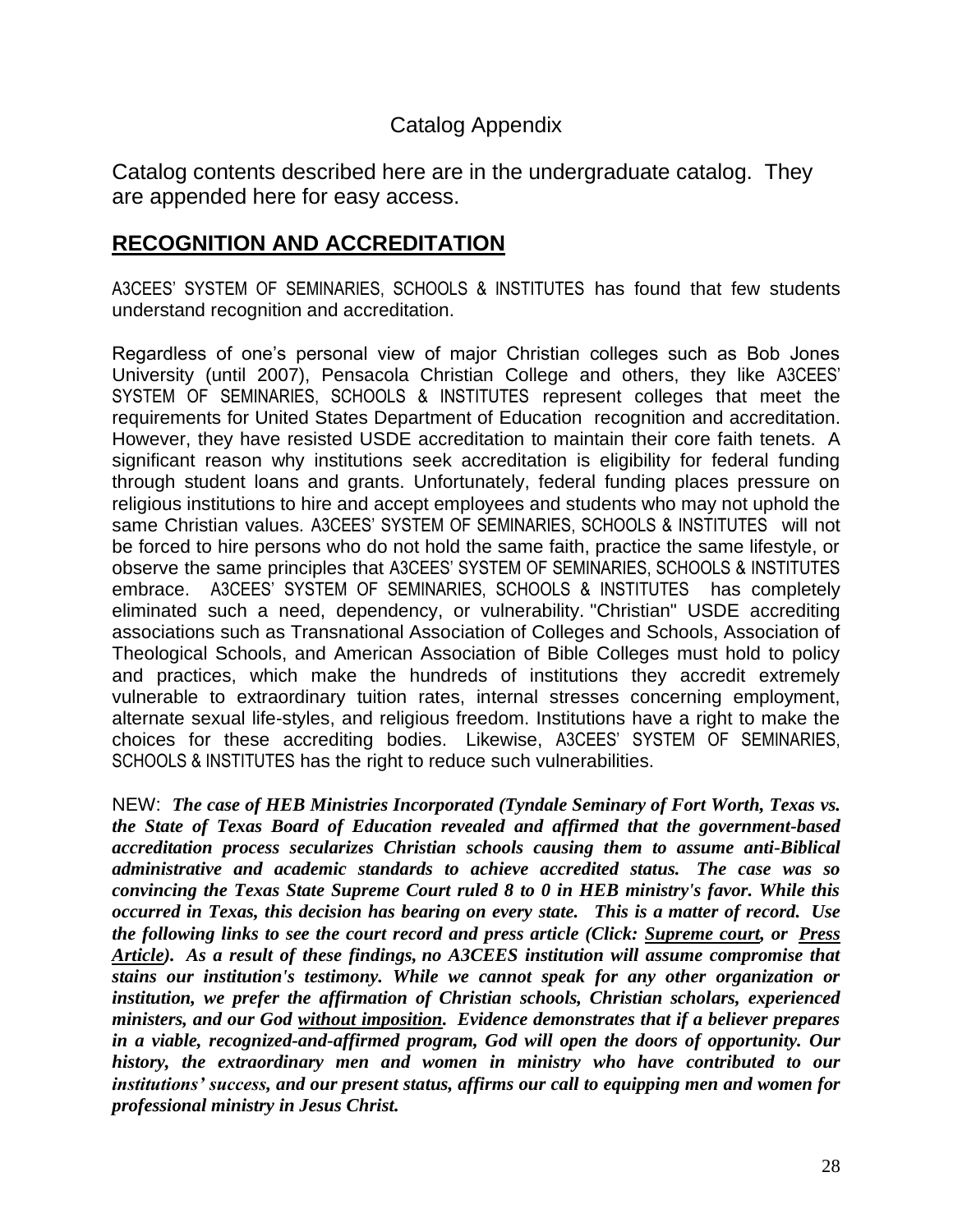## Catalog Appendix

Catalog contents described here are in the undergraduate catalog. They are appended here for easy access.

## **RECOGNITION AND ACCREDITATION**

A3CEES' SYSTEM OF SEMINARIES, SCHOOLS & INSTITUTES has found that few students understand recognition and accreditation.

Regardless of one's personal view of major Christian colleges such as Bob Jones University (until 2007), Pensacola Christian College and others, they like A3CEES' SYSTEM OF SEMINARIES, SCHOOLS & INSTITUTES represent colleges that meet the requirements for United States Department of Education recognition and accreditation. However, they have resisted USDE accreditation to maintain their core faith tenets. A significant reason why institutions seek accreditation is eligibility for federal funding through student loans and grants. Unfortunately, federal funding places pressure on religious institutions to hire and accept employees and students who may not uphold the same Christian values. A3CEES' SYSTEM OF SEMINARIES, SCHOOLS & INSTITUTES will not be forced to hire persons who do not hold the same faith, practice the same lifestyle, or observe the same principles that A3CEES' SYSTEM OF SEMINARIES, SCHOOLS & INSTITUTES embrace. A3CEES' SYSTEM OF SEMINARIES, SCHOOLS & INSTITUTES has completely eliminated such a need, dependency, or vulnerability. "Christian" USDE accrediting associations such as Transnational Association of Colleges and Schools, Association of Theological Schools, and American Association of Bible Colleges must hold to policy and practices, which make the hundreds of institutions they accredit extremely vulnerable to extraordinary tuition rates, internal stresses concerning employment, alternate sexual life-styles, and religious freedom. Institutions have a right to make the choices for these accrediting bodies. Likewise, A3CEES' SYSTEM OF SEMINARIES, SCHOOLS & INSTITUTES has the right to reduce such vulnerabilities.

NEW: *The case of HEB Ministries Incorporated (Tyndale Seminary of Fort Worth, Texas vs. the State of Texas Board of Education revealed and affirmed that the government-based accreditation process secularizes Christian schools causing them to assume anti-Biblical administrative and academic standards to achieve accredited status. The case was so convincing the Texas State Supreme Court ruled 8 to 0 in HEB ministry's favor. While this occurred in Texas, this decision has bearing on every state. This is a matter of record. Use the following links to see the court record and press article (Click: [Supreme court,](http://collegeplex.org/HEBsupremecourt.doc) or [Press](http://collegeplex.org/HEBbaptistpress.doc)  [Article\)](http://collegeplex.org/HEBbaptistpress.doc). As a result of these findings, no A3CEES institution will assume compromise that stains our institution's testimony. While we cannot speak for any other organization or institution, we prefer the affirmation of Christian schools, Christian scholars, experienced ministers, and our God without imposition. Evidence demonstrates that if a believer prepares in a viable, recognized-and-affirmed program, God will open the doors of opportunity. Our history, the extraordinary men and women in ministry who have contributed to our institutions' success, and our present status, affirms our call to equipping men and women for professional ministry in Jesus Christ.*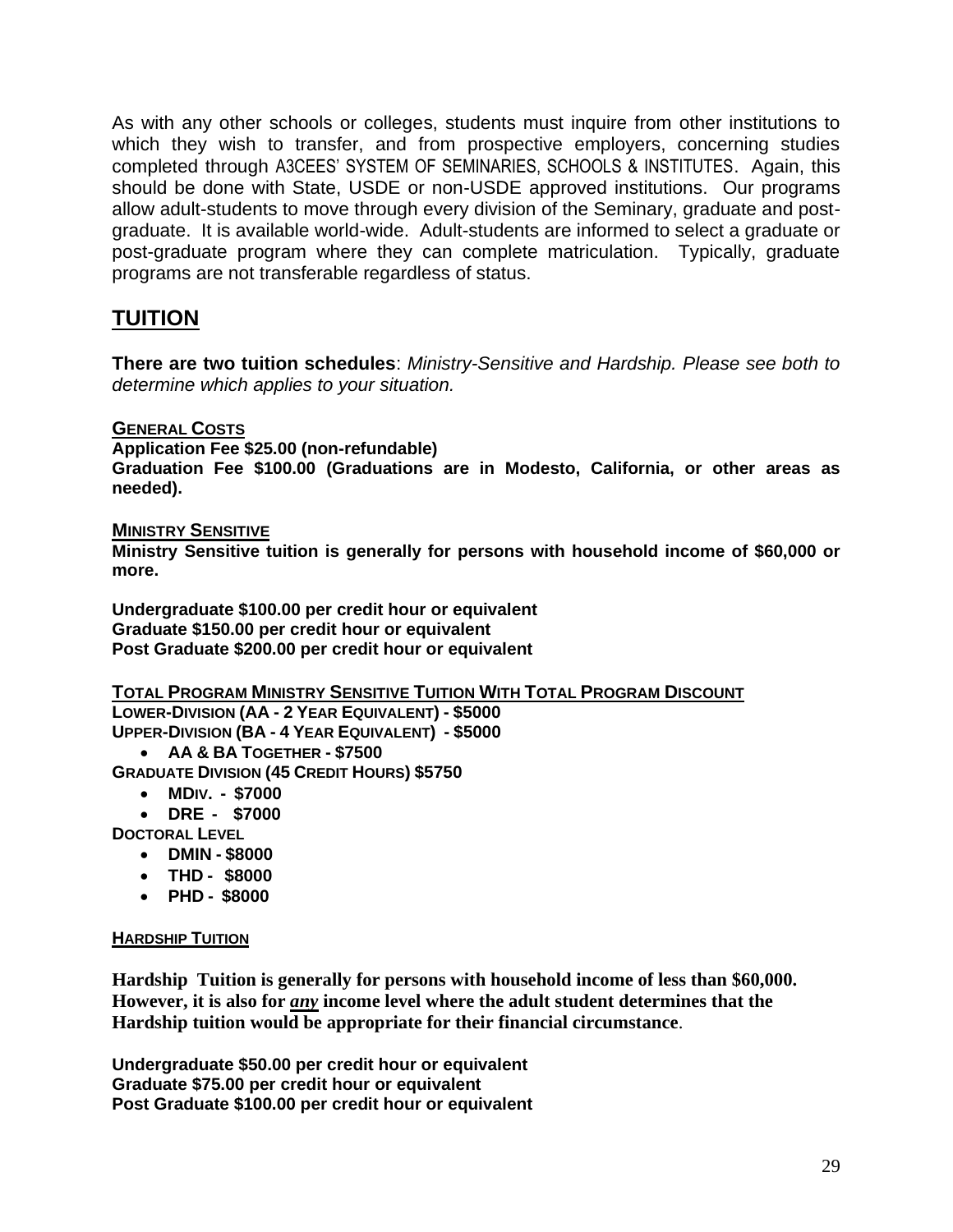As with any other schools or colleges, students must inquire from other institutions to which they wish to transfer, and from prospective employers, concerning studies completed through A3CEES' SYSTEM OF SEMINARIES, SCHOOLS & INSTITUTES. Again, this should be done with State, USDE or non-USDE approved institutions. Our programs allow adult-students to move through every division of the Seminary, graduate and postgraduate. It is available world-wide. Adult-students are informed to select a graduate or post-graduate program where they can complete matriculation. Typically, graduate programs are not transferable regardless of status.

## **TUITION**

**There are two tuition schedules**: *Ministry-Sensitive and Hardship. Please see both to determine which applies to your situation.*

#### **GENERAL COSTS**

**Application Fee \$25.00 (non-refundable)**

**Graduation Fee \$100.00 (Graduations are in Modesto, California, or other areas as needed).**

#### **MINISTRY SENSITIVE**

**Ministry Sensitive tuition is generally for persons with household income of \$60,000 or more.**

**Undergraduate \$100.00 per credit hour or equivalent Graduate \$150.00 per credit hour or equivalent Post Graduate \$200.00 per credit hour or equivalent**

#### **TOTAL PROGRAM MINISTRY SENSITIVE TUITION WITH TOTAL PROGRAM DISCOUNT**

**LOWER-DIVISION (AA - 2 YEAR EQUIVALENT) - \$5000 UPPER-DIVISION (BA - 4 YEAR EQUIVALENT) - \$5000**

• **AA & BA TOGETHER - \$7500**

**GRADUATE DIVISION (45 CREDIT HOURS) \$5750**

- **MDIV. - \$7000**
- **DRE - \$7000**

**DOCTORAL LEVEL** 

- **DMIN - \$8000**
- **THD - \$8000**
- **PHD - \$8000**

#### **HARDSHIP TUITION**

**Hardship Tuition is generally for persons with household income of less than \$60,000. However, it is also for** *any* **income level where the adult student determines that the Hardship tuition would be appropriate for their financial circumstance**.

**Undergraduate \$50.00 per credit hour or equivalent Graduate \$75.00 per credit hour or equivalent Post Graduate \$100.00 per credit hour or equivalent**